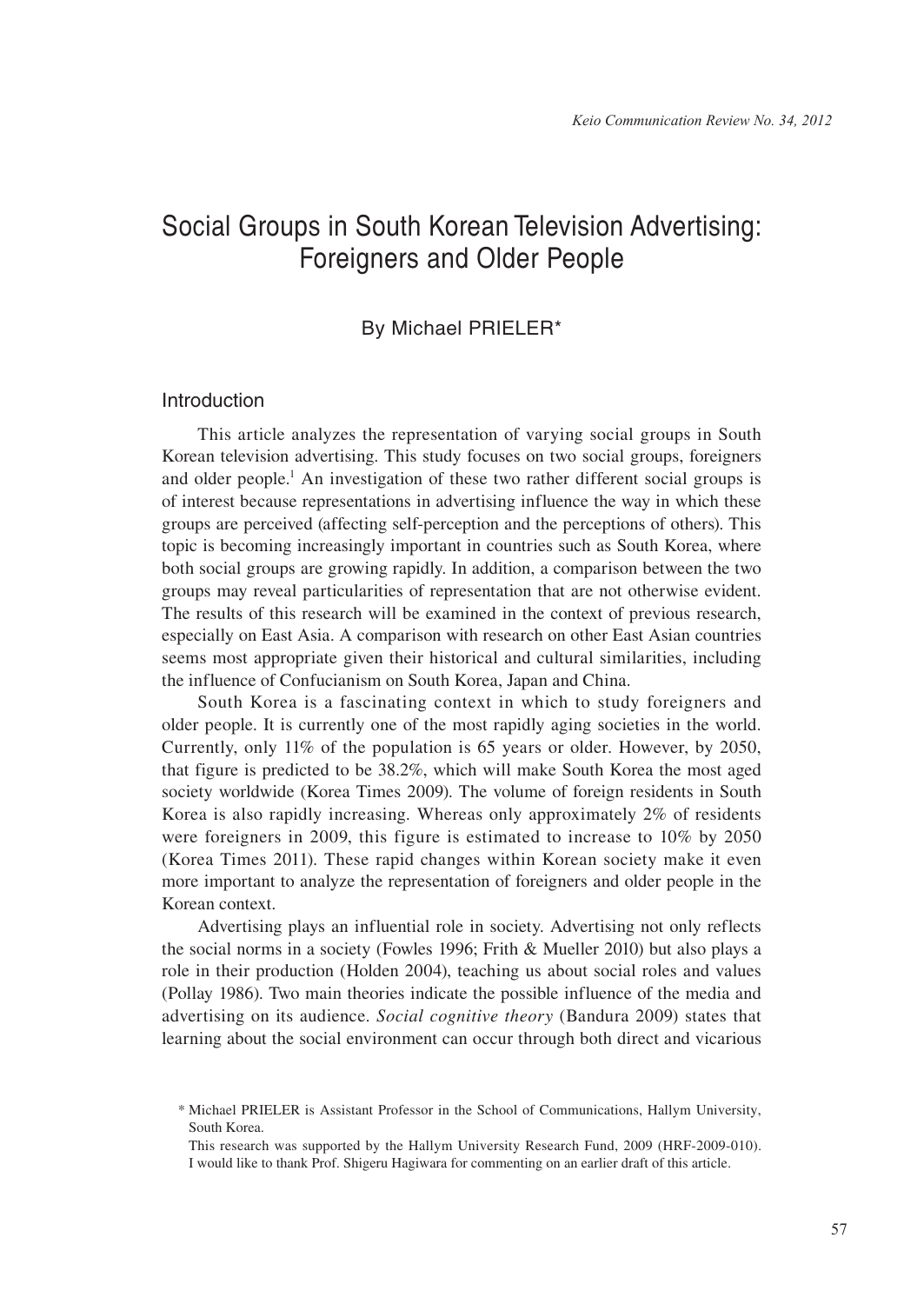# Social Groups in South Korean Television Advertising: Foreigners and Older People

# By Michael PRIELER\*

## Introduction

This article analyzes the representation of varying social groups in South Korean television advertising. This study focuses on two social groups, foreigners and older people.<sup>1</sup> An investigation of these two rather different social groups is of interest because representations in advertising influence the way in which these groups are perceived (affecting self-perception and the perceptions of others). This topic is becoming increasingly important in countries such as South Korea, where both social groups are growing rapidly. In addition, a comparison between the two groups may reveal particularities of representation that are not otherwise evident. The results of this research will be examined in the context of previous research, especially on East Asia. A comparison with research on other East Asian countries seems most appropriate given their historical and cultural similarities, including the influence of Confucianism on South Korea, Japan and China.

South Korea is a fascinating context in which to study foreigners and older people. It is currently one of the most rapidly aging societies in the world. Currently, only 11% of the population is 65 years or older. However, by 2050, that figure is predicted to be 38.2%, which will make South Korea the most aged society worldwide (Korea Times 2009). The volume of foreign residents in South Korea is also rapidly increasing. Whereas only approximately 2% of residents were foreigners in 2009, this figure is estimated to increase to 10% by 2050 (Korea Times 2011). These rapid changes within Korean society make it even more important to analyze the representation of foreigners and older people in the Korean context.

Advertising plays an influential role in society. Advertising not only reflects the social norms in a society (Fowles 1996; Frith & Mueller 2010) but also plays a role in their production (Holden 2004), teaching us about social roles and values (Pollay 1986). Two main theories indicate the possible influence of the media and advertising on its audience. *Social cognitive theory* (Bandura 2009) states that learning about the social environment can occur through both direct and vicarious

<sup>\*</sup> Michael PRIELER is Assistant Professor in the School of Communications, Hallym University, South Korea.

This research was supported by the Hallym University Research Fund, 2009 (HRF-2009-010). I would like to thank Prof. Shigeru Hagiwara for commenting on an earlier draft of this article.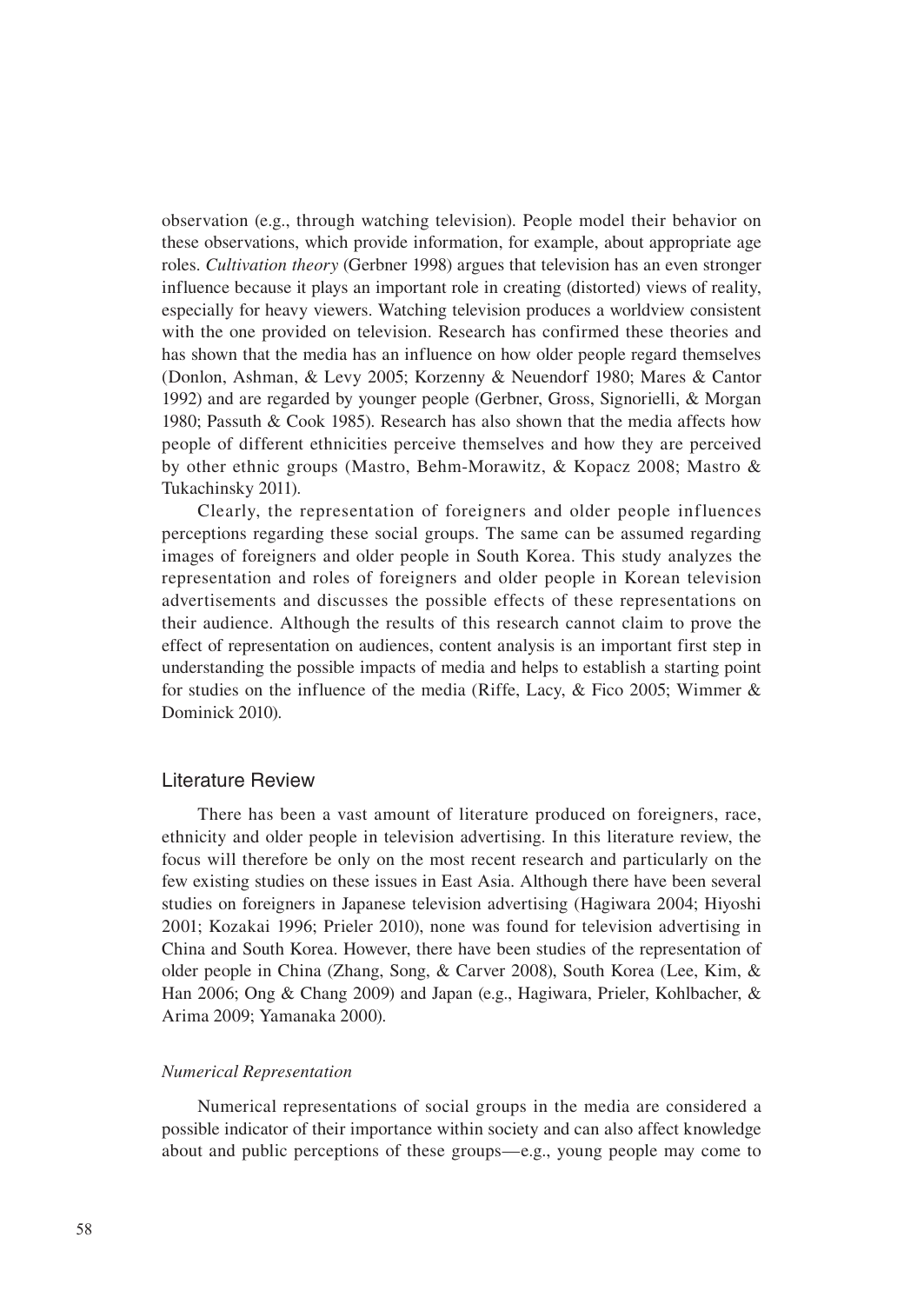observation (e.g., through watching television). People model their behavior on these observations, which provide information, for example, about appropriate age roles. *Cultivation theory* (Gerbner 1998) argues that television has an even stronger influence because it plays an important role in creating (distorted) views of reality, especially for heavy viewers. Watching television produces a worldview consistent with the one provided on television. Research has confirmed these theories and has shown that the media has an influence on how older people regard themselves (Donlon, Ashman, & Levy 2005; Korzenny & Neuendorf 1980; Mares & Cantor 1992) and are regarded by younger people (Gerbner, Gross, Signorielli, & Morgan 1980; Passuth & Cook 1985). Research has also shown that the media affects how people of different ethnicities perceive themselves and how they are perceived by other ethnic groups (Mastro, Behm-Morawitz, & Kopacz 2008; Mastro & Tukachinsky 2011).

Clearly, the representation of foreigners and older people influences perceptions regarding these social groups. The same can be assumed regarding images of foreigners and older people in South Korea. This study analyzes the representation and roles of foreigners and older people in Korean television advertisements and discusses the possible effects of these representations on their audience. Although the results of this research cannot claim to prove the effect of representation on audiences, content analysis is an important first step in understanding the possible impacts of media and helps to establish a starting point for studies on the influence of the media (Riffe, Lacy, & Fico 2005; Wimmer & Dominick 2010).

## Literature Review

There has been a vast amount of literature produced on foreigners, race, ethnicity and older people in television advertising. In this literature review, the focus will therefore be only on the most recent research and particularly on the few existing studies on these issues in East Asia. Although there have been several studies on foreigners in Japanese television advertising (Hagiwara 2004; Hiyoshi 2001; Kozakai 1996; Prieler 2010), none was found for television advertising in China and South Korea. However, there have been studies of the representation of older people in China (Zhang, Song, & Carver 2008), South Korea (Lee, Kim, & Han 2006; Ong & Chang 2009) and Japan (e.g., Hagiwara, Prieler, Kohlbacher, & Arima 2009; Yamanaka 2000).

#### *Numerical Representation*

Numerical representations of social groups in the media are considered a possible indicator of their importance within society and can also affect knowledge about and public perceptions of these groups—e.g., young people may come to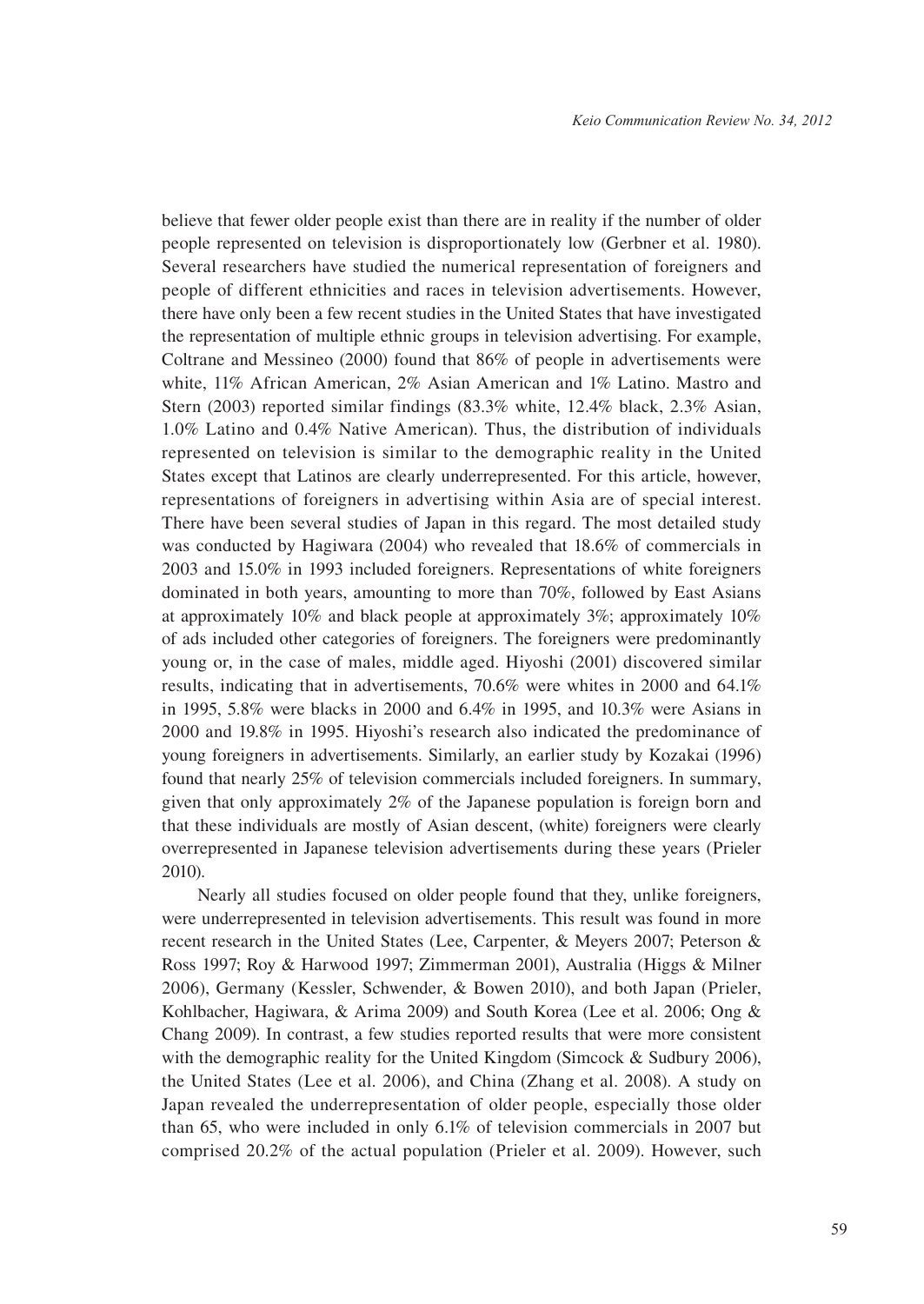believe that fewer older people exist than there are in reality if the number of older people represented on television is disproportionately low (Gerbner et al. 1980). Several researchers have studied the numerical representation of foreigners and people of different ethnicities and races in television advertisements. However, there have only been a few recent studies in the United States that have investigated the representation of multiple ethnic groups in television advertising. For example, Coltrane and Messineo (2000) found that 86% of people in advertisements were white, 11% African American, 2% Asian American and 1% Latino. Mastro and Stern (2003) reported similar findings (83.3% white, 12.4% black, 2.3% Asian, 1.0% Latino and 0.4% Native American). Thus, the distribution of individuals represented on television is similar to the demographic reality in the United States except that Latinos are clearly underrepresented. For this article, however, representations of foreigners in advertising within Asia are of special interest. There have been several studies of Japan in this regard. The most detailed study was conducted by Hagiwara (2004) who revealed that 18.6% of commercials in 2003 and 15.0% in 1993 included foreigners. Representations of white foreigners dominated in both years, amounting to more than 70%, followed by East Asians at approximately 10% and black people at approximately 3%; approximately 10% of ads included other categories of foreigners. The foreigners were predominantly young or, in the case of males, middle aged. Hiyoshi (2001) discovered similar results, indicating that in advertisements, 70.6% were whites in 2000 and 64.1% in 1995, 5.8% were blacks in 2000 and 6.4% in 1995, and 10.3% were Asians in 2000 and 19.8% in 1995. Hiyoshi's research also indicated the predominance of young foreigners in advertisements. Similarly, an earlier study by Kozakai (1996) found that nearly 25% of television commercials included foreigners. In summary, given that only approximately 2% of the Japanese population is foreign born and that these individuals are mostly of Asian descent, (white) foreigners were clearly overrepresented in Japanese television advertisements during these years (Prieler 2010).

Nearly all studies focused on older people found that they, unlike foreigners, were underrepresented in television advertisements. This result was found in more recent research in the United States (Lee, Carpenter, & Meyers 2007; Peterson & Ross 1997; Roy & Harwood 1997; Zimmerman 2001), Australia (Higgs & Milner 2006), Germany (Kessler, Schwender, & Bowen 2010), and both Japan (Prieler, Kohlbacher, Hagiwara, & Arima 2009) and South Korea (Lee et al. 2006; Ong & Chang 2009). In contrast, a few studies reported results that were more consistent with the demographic reality for the United Kingdom (Simcock & Sudbury 2006), the United States (Lee et al. 2006), and China (Zhang et al. 2008). A study on Japan revealed the underrepresentation of older people, especially those older than 65, who were included in only 6.1% of television commercials in 2007 but comprised 20.2% of the actual population (Prieler et al. 2009). However, such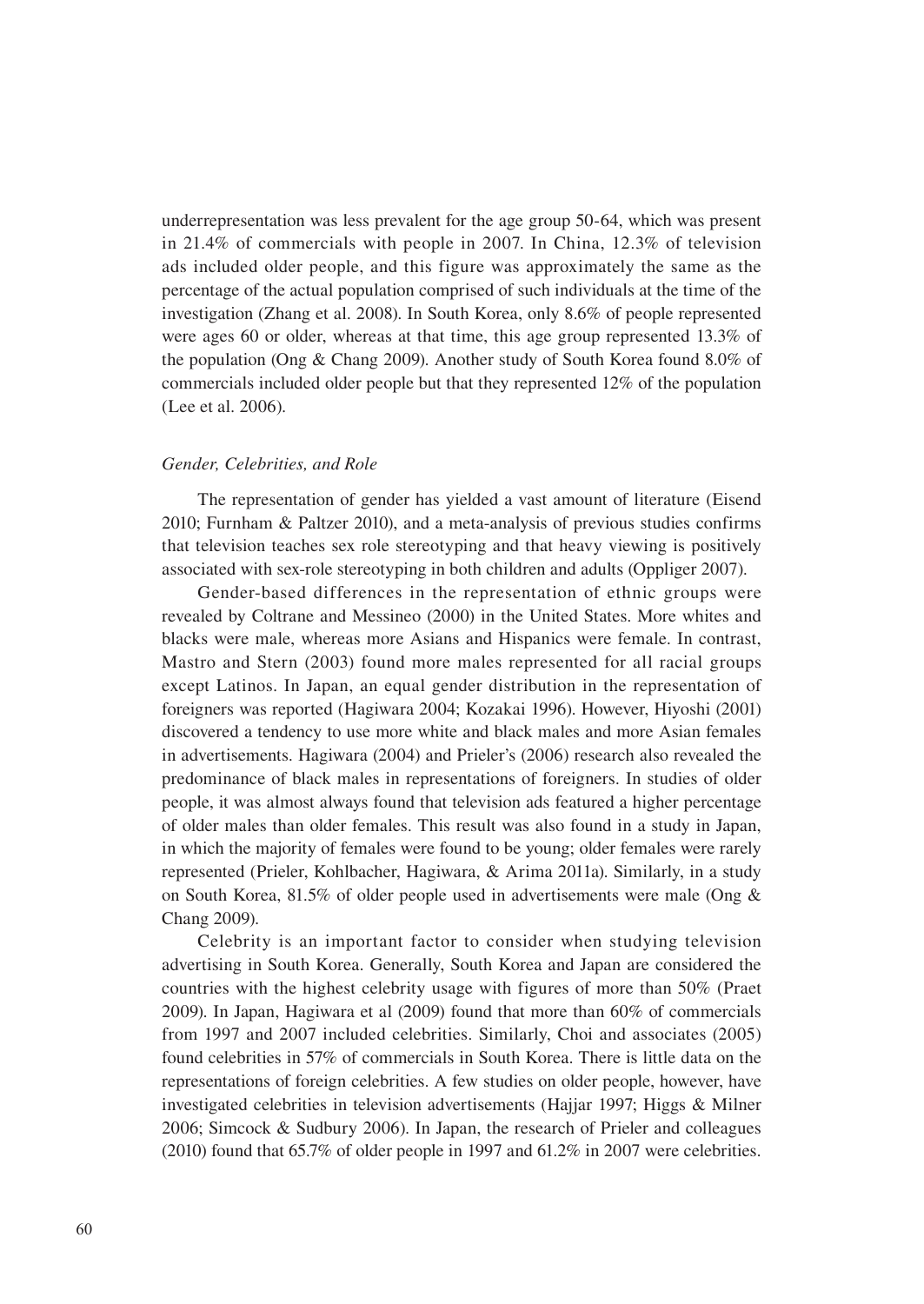underrepresentation was less prevalent for the age group 50-64, which was present in 21.4% of commercials with people in 2007. In China, 12.3% of television ads included older people, and this figure was approximately the same as the percentage of the actual population comprised of such individuals at the time of the investigation (Zhang et al. 2008). In South Korea, only 8.6% of people represented were ages 60 or older, whereas at that time, this age group represented 13.3% of the population (Ong & Chang 2009). Another study of South Korea found 8.0% of commercials included older people but that they represented 12% of the population (Lee et al. 2006).

#### *Gender, Celebrities, and Role*

The representation of gender has yielded a vast amount of literature (Eisend 2010; Furnham & Paltzer 2010), and a meta-analysis of previous studies confirms that television teaches sex role stereotyping and that heavy viewing is positively associated with sex-role stereotyping in both children and adults (Oppliger 2007).

Gender-based differences in the representation of ethnic groups were revealed by Coltrane and Messineo (2000) in the United States. More whites and blacks were male, whereas more Asians and Hispanics were female. In contrast, Mastro and Stern (2003) found more males represented for all racial groups except Latinos. In Japan, an equal gender distribution in the representation of foreigners was reported (Hagiwara 2004; Kozakai 1996). However, Hiyoshi (2001) discovered a tendency to use more white and black males and more Asian females in advertisements. Hagiwara (2004) and Prieler's (2006) research also revealed the predominance of black males in representations of foreigners. In studies of older people, it was almost always found that television ads featured a higher percentage of older males than older females. This result was also found in a study in Japan, in which the majority of females were found to be young; older females were rarely represented (Prieler, Kohlbacher, Hagiwara, & Arima 2011a). Similarly, in a study on South Korea, 81.5% of older people used in advertisements were male (Ong & Chang 2009).

Celebrity is an important factor to consider when studying television advertising in South Korea. Generally, South Korea and Japan are considered the countries with the highest celebrity usage with figures of more than 50% (Praet 2009). In Japan, Hagiwara et al (2009) found that more than 60% of commercials from 1997 and 2007 included celebrities. Similarly, Choi and associates (2005) found celebrities in 57% of commercials in South Korea. There is little data on the representations of foreign celebrities. A few studies on older people, however, have investigated celebrities in television advertisements (Hajjar 1997; Higgs & Milner 2006; Simcock & Sudbury 2006). In Japan, the research of Prieler and colleagues (2010) found that 65.7% of older people in 1997 and 61.2% in 2007 were celebrities.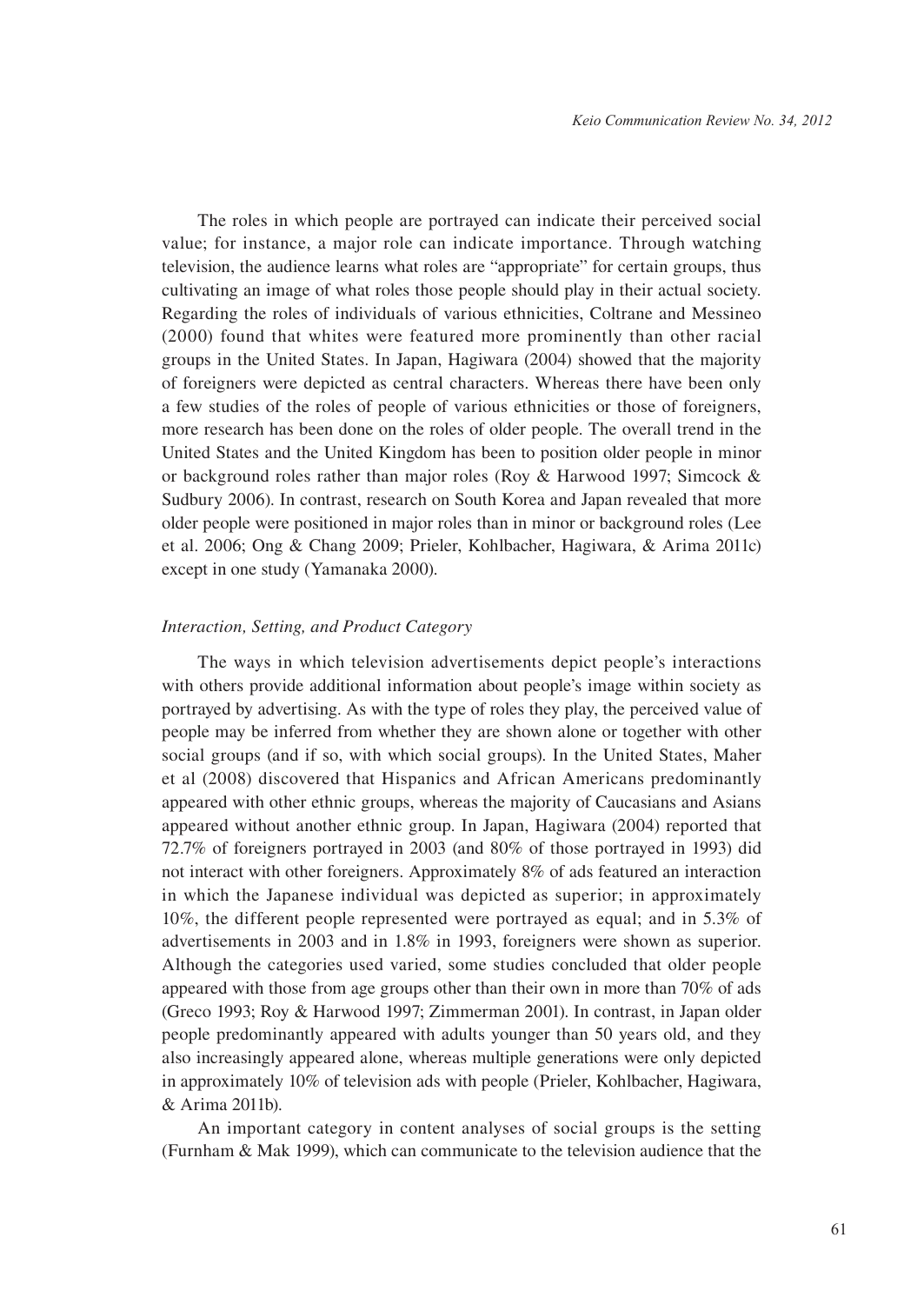The roles in which people are portrayed can indicate their perceived social value; for instance, a major role can indicate importance. Through watching television, the audience learns what roles are "appropriate" for certain groups, thus cultivating an image of what roles those people should play in their actual society. Regarding the roles of individuals of various ethnicities, Coltrane and Messineo (2000) found that whites were featured more prominently than other racial groups in the United States. In Japan, Hagiwara (2004) showed that the majority of foreigners were depicted as central characters. Whereas there have been only a few studies of the roles of people of various ethnicities or those of foreigners, more research has been done on the roles of older people. The overall trend in the United States and the United Kingdom has been to position older people in minor or background roles rather than major roles (Roy & Harwood 1997; Simcock & Sudbury 2006). In contrast, research on South Korea and Japan revealed that more older people were positioned in major roles than in minor or background roles (Lee et al. 2006; Ong & Chang 2009; Prieler, Kohlbacher, Hagiwara, & Arima 2011c) except in one study (Yamanaka 2000).

#### *Interaction, Setting, and Product Category*

The ways in which television advertisements depict people's interactions with others provide additional information about people's image within society as portrayed by advertising. As with the type of roles they play, the perceived value of people may be inferred from whether they are shown alone or together with other social groups (and if so, with which social groups). In the United States, Maher et al (2008) discovered that Hispanics and African Americans predominantly appeared with other ethnic groups, whereas the majority of Caucasians and Asians appeared without another ethnic group. In Japan, Hagiwara (2004) reported that 72.7% of foreigners portrayed in 2003 (and 80% of those portrayed in 1993) did not interact with other foreigners. Approximately 8% of ads featured an interaction in which the Japanese individual was depicted as superior; in approximately 10%, the different people represented were portrayed as equal; and in 5.3% of advertisements in 2003 and in 1.8% in 1993, foreigners were shown as superior. Although the categories used varied, some studies concluded that older people appeared with those from age groups other than their own in more than 70% of ads (Greco 1993; Roy & Harwood 1997; Zimmerman 2001). In contrast, in Japan older people predominantly appeared with adults younger than 50 years old, and they also increasingly appeared alone, whereas multiple generations were only depicted in approximately 10% of television ads with people (Prieler, Kohlbacher, Hagiwara, & Arima 2011b).

An important category in content analyses of social groups is the setting (Furnham & Mak 1999), which can communicate to the television audience that the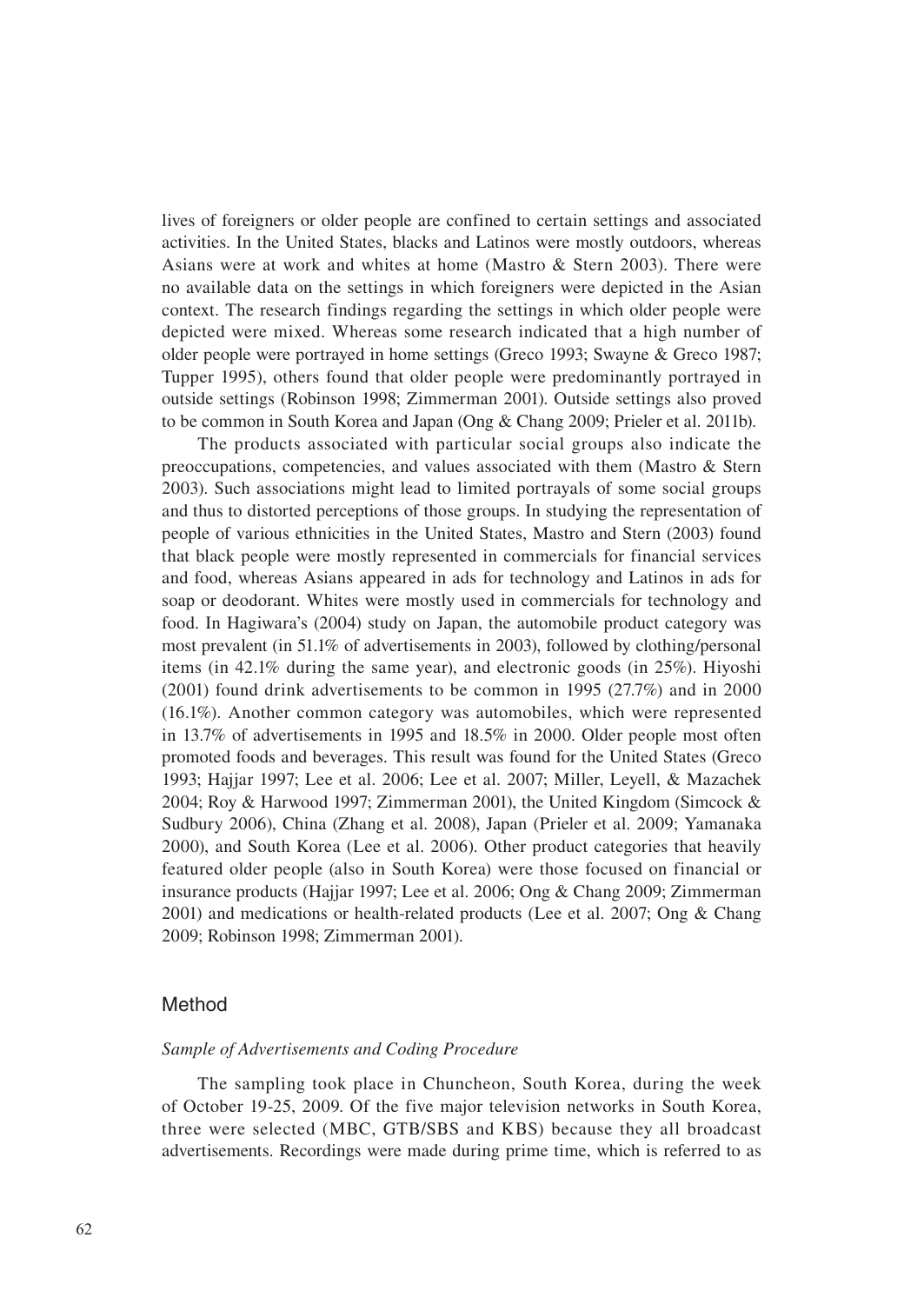lives of foreigners or older people are confined to certain settings and associated activities. In the United States, blacks and Latinos were mostly outdoors, whereas Asians were at work and whites at home (Mastro & Stern 2003). There were no available data on the settings in which foreigners were depicted in the Asian context. The research findings regarding the settings in which older people were depicted were mixed. Whereas some research indicated that a high number of older people were portrayed in home settings (Greco 1993; Swayne & Greco 1987; Tupper 1995), others found that older people were predominantly portrayed in outside settings (Robinson 1998; Zimmerman 2001). Outside settings also proved to be common in South Korea and Japan (Ong & Chang 2009; Prieler et al. 2011b).

The products associated with particular social groups also indicate the preoccupations, competencies, and values associated with them (Mastro & Stern 2003). Such associations might lead to limited portrayals of some social groups and thus to distorted perceptions of those groups. In studying the representation of people of various ethnicities in the United States, Mastro and Stern (2003) found that black people were mostly represented in commercials for financial services and food, whereas Asians appeared in ads for technology and Latinos in ads for soap or deodorant. Whites were mostly used in commercials for technology and food. In Hagiwara's (2004) study on Japan, the automobile product category was most prevalent (in 51.1% of advertisements in 2003), followed by clothing/personal items (in 42.1% during the same year), and electronic goods (in 25%). Hiyoshi (2001) found drink advertisements to be common in 1995 (27.7%) and in 2000 (16.1%). Another common category was automobiles, which were represented in 13.7% of advertisements in 1995 and 18.5% in 2000. Older people most often promoted foods and beverages. This result was found for the United States (Greco 1993; Hajjar 1997; Lee et al. 2006; Lee et al. 2007; Miller, Leyell, & Mazachek 2004; Roy & Harwood 1997; Zimmerman 2001), the United Kingdom (Simcock & Sudbury 2006), China (Zhang et al. 2008), Japan (Prieler et al. 2009; Yamanaka 2000), and South Korea (Lee et al. 2006). Other product categories that heavily featured older people (also in South Korea) were those focused on financial or insurance products (Hajjar 1997; Lee et al. 2006; Ong & Chang 2009; Zimmerman 2001) and medications or health-related products (Lee et al. 2007; Ong & Chang 2009; Robinson 1998; Zimmerman 2001).

## Method

## *Sample of Advertisements and Coding Procedure*

The sampling took place in Chuncheon, South Korea, during the week of October 19-25, 2009. Of the five major television networks in South Korea, three were selected (MBC, GTB/SBS and KBS) because they all broadcast advertisements. Recordings were made during prime time, which is referred to as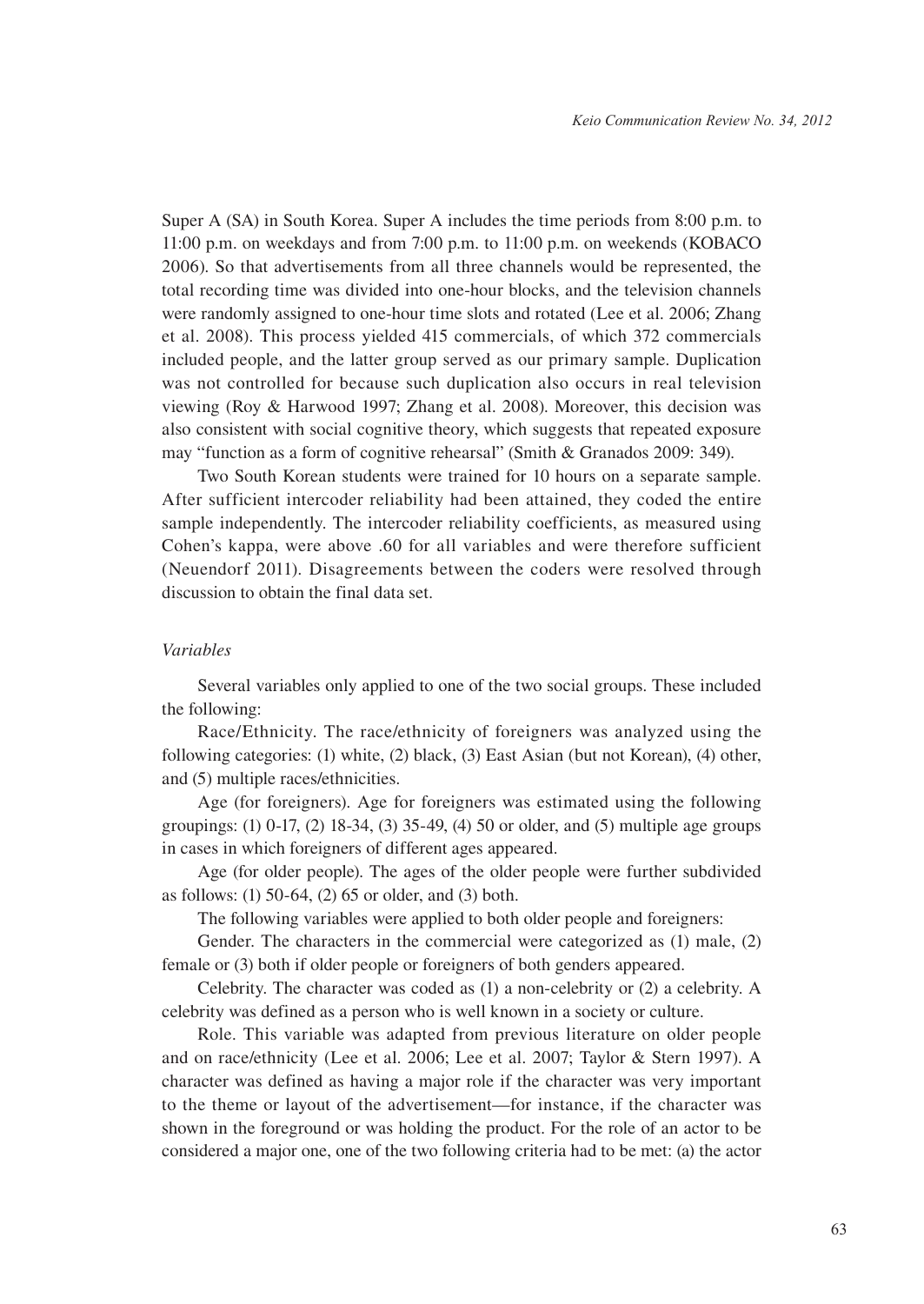Super A (SA) in South Korea. Super A includes the time periods from 8:00 p.m. to 11:00 p.m. on weekdays and from 7:00 p.m. to 11:00 p.m. on weekends (KOBACO 2006). So that advertisements from all three channels would be represented, the total recording time was divided into one-hour blocks, and the television channels were randomly assigned to one-hour time slots and rotated (Lee et al. 2006; Zhang et al. 2008). This process yielded 415 commercials, of which 372 commercials included people, and the latter group served as our primary sample. Duplication was not controlled for because such duplication also occurs in real television viewing (Roy & Harwood 1997; Zhang et al. 2008). Moreover, this decision was also consistent with social cognitive theory, which suggests that repeated exposure may "function as a form of cognitive rehearsal" (Smith & Granados 2009: 349).

Two South Korean students were trained for 10 hours on a separate sample. After sufficient intercoder reliability had been attained, they coded the entire sample independently. The intercoder reliability coefficients, as measured using Cohen's kappa, were above .60 for all variables and were therefore sufficient (Neuendorf 2011). Disagreements between the coders were resolved through discussion to obtain the final data set.

#### *Variables*

Several variables only applied to one of the two social groups. These included the following:

Race/Ethnicity. The race/ethnicity of foreigners was analyzed using the following categories: (1) white, (2) black, (3) East Asian (but not Korean), (4) other, and (5) multiple races/ethnicities.

Age (for foreigners). Age for foreigners was estimated using the following groupings: (1) 0-17, (2) 18-34, (3) 35-49, (4) 50 or older, and (5) multiple age groups in cases in which foreigners of different ages appeared.

Age (for older people). The ages of the older people were further subdivided as follows: (1) 50-64, (2) 65 or older, and (3) both.

The following variables were applied to both older people and foreigners:

Gender. The characters in the commercial were categorized as (1) male, (2) female or (3) both if older people or foreigners of both genders appeared.

Celebrity. The character was coded as (1) a non-celebrity or (2) a celebrity. A celebrity was defined as a person who is well known in a society or culture.

Role. This variable was adapted from previous literature on older people and on race/ethnicity (Lee et al. 2006; Lee et al. 2007; Taylor & Stern 1997). A character was defined as having a major role if the character was very important to the theme or layout of the advertisement—for instance, if the character was shown in the foreground or was holding the product. For the role of an actor to be considered a major one, one of the two following criteria had to be met: (a) the actor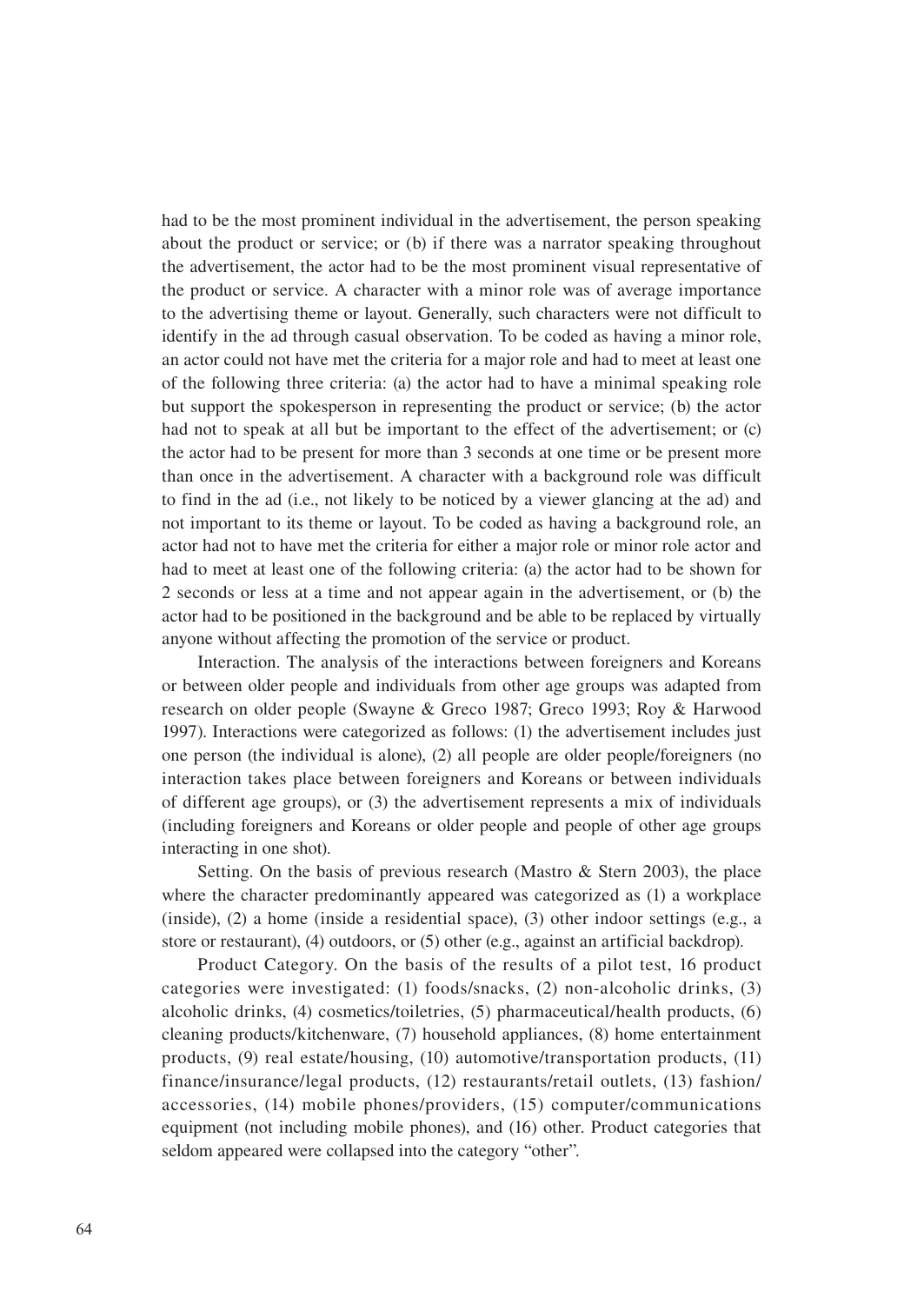had to be the most prominent individual in the advertisement, the person speaking about the product or service; or (b) if there was a narrator speaking throughout the advertisement, the actor had to be the most prominent visual representative of the product or service. A character with a minor role was of average importance to the advertising theme or layout. Generally, such characters were not difficult to identify in the ad through casual observation. To be coded as having a minor role, an actor could not have met the criteria for a major role and had to meet at least one of the following three criteria: (a) the actor had to have a minimal speaking role but support the spokesperson in representing the product or service; (b) the actor had not to speak at all but be important to the effect of the advertisement; or (c) the actor had to be present for more than 3 seconds at one time or be present more than once in the advertisement. A character with a background role was difficult to find in the ad (i.e., not likely to be noticed by a viewer glancing at the ad) and not important to its theme or layout. To be coded as having a background role, an actor had not to have met the criteria for either a major role or minor role actor and had to meet at least one of the following criteria: (a) the actor had to be shown for 2 seconds or less at a time and not appear again in the advertisement, or (b) the actor had to be positioned in the background and be able to be replaced by virtually anyone without affecting the promotion of the service or product.

Interaction. The analysis of the interactions between foreigners and Koreans or between older people and individuals from other age groups was adapted from research on older people (Swayne & Greco 1987; Greco 1993; Roy & Harwood 1997). Interactions were categorized as follows: (1) the advertisement includes just one person (the individual is alone), (2) all people are older people/foreigners (no interaction takes place between foreigners and Koreans or between individuals of different age groups), or (3) the advertisement represents a mix of individuals (including foreigners and Koreans or older people and people of other age groups interacting in one shot).

Setting. On the basis of previous research (Mastro & Stern 2003), the place where the character predominantly appeared was categorized as (1) a workplace (inside), (2) a home (inside a residential space), (3) other indoor settings (e.g., a store or restaurant), (4) outdoors, or (5) other (e.g., against an artificial backdrop).

Product Category. On the basis of the results of a pilot test, 16 product categories were investigated: (1) foods/snacks, (2) non-alcoholic drinks, (3) alcoholic drinks, (4) cosmetics/toiletries, (5) pharmaceutical/health products, (6) cleaning products/kitchenware, (7) household appliances, (8) home entertainment products, (9) real estate/housing, (10) automotive/transportation products, (11) finance/insurance/legal products, (12) restaurants/retail outlets, (13) fashion/ accessories, (14) mobile phones/providers, (15) computer/communications equipment (not including mobile phones), and (16) other. Product categories that seldom appeared were collapsed into the category "other".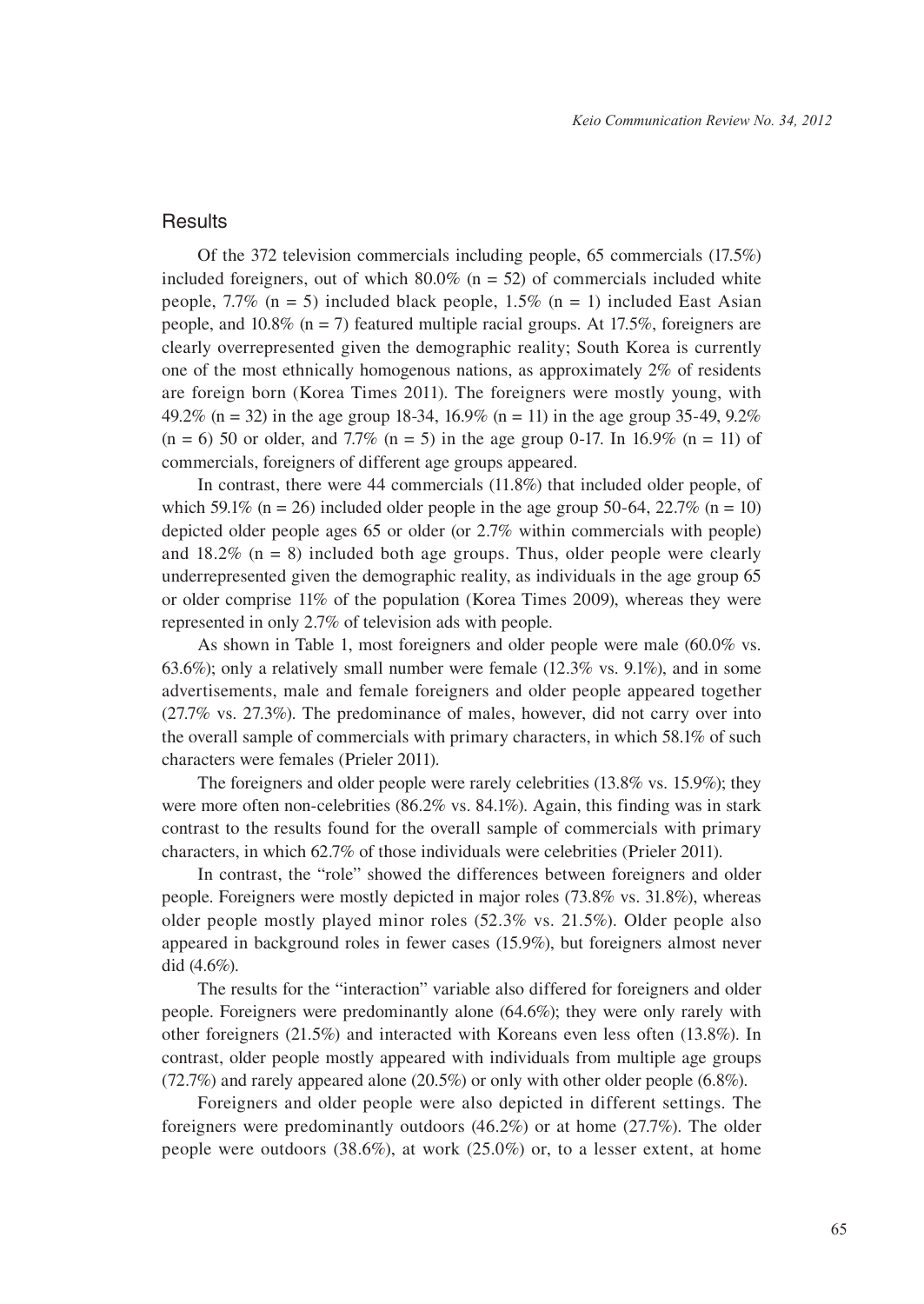### **Results**

Of the 372 television commercials including people, 65 commercials (17.5%) included foreigners, out of which  $80.0\%$  (n = 52) of commercials included white people, 7.7% (n = 5) included black people, 1.5% (n = 1) included East Asian people, and  $10.8\%$  (n = 7) featured multiple racial groups. At 17.5%, foreigners are clearly overrepresented given the demographic reality; South Korea is currently one of the most ethnically homogenous nations, as approximately 2% of residents are foreign born (Korea Times 2011). The foreigners were mostly young, with 49.2% (n = 32) in the age group 18-34, 16.9% (n = 11) in the age group 35-49, 9.2%  $(n = 6)$  50 or older, and 7.7%  $(n = 5)$  in the age group 0-17. In 16.9%  $(n = 11)$  of commercials, foreigners of different age groups appeared.

In contrast, there were 44 commercials (11.8%) that included older people, of which 59.1% (n = 26) included older people in the age group 50-64, 22.7% (n = 10) depicted older people ages 65 or older (or 2.7% within commercials with people) and  $18.2\%$  (n = 8) included both age groups. Thus, older people were clearly underrepresented given the demographic reality, as individuals in the age group 65 or older comprise 11% of the population (Korea Times 2009), whereas they were represented in only 2.7% of television ads with people.

As shown in Table 1, most foreigners and older people were male (60.0% vs. 63.6%); only a relatively small number were female (12.3% vs. 9.1%), and in some advertisements, male and female foreigners and older people appeared together (27.7% vs. 27.3%). The predominance of males, however, did not carry over into the overall sample of commercials with primary characters, in which 58.1% of such characters were females (Prieler 2011).

The foreigners and older people were rarely celebrities (13.8% vs. 15.9%); they were more often non-celebrities (86.2% vs. 84.1%). Again, this finding was in stark contrast to the results found for the overall sample of commercials with primary characters, in which 62.7% of those individuals were celebrities (Prieler 2011).

In contrast, the "role" showed the differences between foreigners and older people. Foreigners were mostly depicted in major roles (73.8% vs. 31.8%), whereas older people mostly played minor roles (52.3% vs. 21.5%). Older people also appeared in background roles in fewer cases (15.9%), but foreigners almost never did (4.6%).

The results for the "interaction" variable also differed for foreigners and older people. Foreigners were predominantly alone (64.6%); they were only rarely with other foreigners (21.5%) and interacted with Koreans even less often (13.8%). In contrast, older people mostly appeared with individuals from multiple age groups (72.7%) and rarely appeared alone (20.5%) or only with other older people (6.8%).

Foreigners and older people were also depicted in different settings. The foreigners were predominantly outdoors (46.2%) or at home (27.7%). The older people were outdoors (38.6%), at work (25.0%) or, to a lesser extent, at home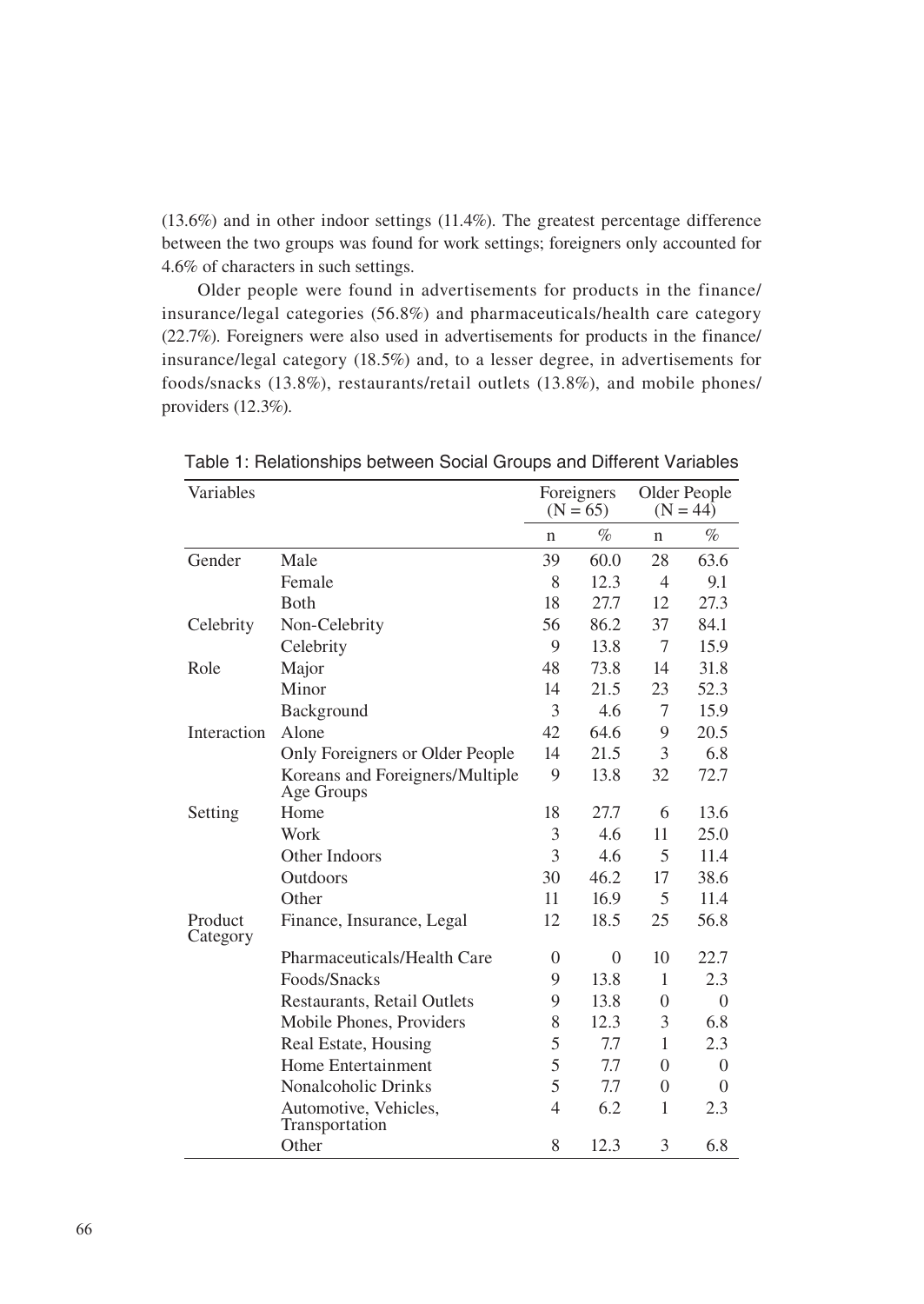(13.6%) and in other indoor settings (11.4%). The greatest percentage difference between the two groups was found for work settings; foreigners only accounted for 4.6% of characters in such settings.

Older people were found in advertisements for products in the finance/ insurance/legal categories (56.8%) and pharmaceuticals/health care category (22.7%). Foreigners were also used in advertisements for products in the finance/ insurance/legal category (18.5%) and, to a lesser degree, in advertisements for foods/snacks (13.8%), restaurants/retail outlets (13.8%), and mobile phones/ providers (12.3%).

| Variables           |                                               | Foreigners<br>$(N = 65)$ |      | Older People<br>$(N = 44)$ |          |
|---------------------|-----------------------------------------------|--------------------------|------|----------------------------|----------|
|                     |                                               | n                        | %    | n                          | %        |
| Gender              | Male                                          | 39                       | 60.0 | 28                         | 63.6     |
|                     | Female                                        | 8                        | 12.3 | 4                          | 9.1      |
|                     | <b>B</b> oth                                  | 18                       | 27.7 | 12                         | 27.3     |
| Celebrity           | Non-Celebrity                                 | 56                       | 86.2 | 37                         | 84.1     |
|                     | Celebrity                                     | 9                        | 13.8 | 7                          | 15.9     |
| Role                | Major                                         | 48                       | 73.8 | 14                         | 31.8     |
|                     | Minor                                         | 14                       | 21.5 | 23                         | 52.3     |
|                     | Background                                    | 3                        | 4.6  | 7                          | 15.9     |
| Interaction         | Alone                                         | 42                       | 64.6 | 9                          | 20.5     |
|                     | Only Foreigners or Older People               | 14                       | 21.5 | 3                          | 6.8      |
|                     | Koreans and Foreigners/Multiple<br>Age Groups | 9                        | 13.8 | 32                         | 72.7     |
| Setting             | Home                                          | 18                       | 27.7 | 6                          | 13.6     |
|                     | Work                                          | 3                        | 4.6  | 11                         | 25.0     |
|                     | Other Indoors                                 | 3                        | 4.6  | 5                          | 11.4     |
|                     | Outdoors                                      | 30                       | 46.2 | 17                         | 38.6     |
|                     | Other                                         | 11                       | 16.9 | 5                          | 11.4     |
| Product<br>Category | Finance, Insurance, Legal                     | 12                       | 18.5 | 25                         | 56.8     |
|                     | Pharmaceuticals/Health Care                   | $\overline{0}$           | 0    | 10                         | 22.7     |
|                     | Foods/Snacks                                  | 9                        | 13.8 | $\mathbf{1}$               | 2.3      |
|                     | Restaurants, Retail Outlets                   | 9                        | 13.8 | $\theta$                   | $\theta$ |
|                     | Mobile Phones, Providers                      | 8                        | 12.3 | 3                          | 6.8      |
|                     | Real Estate, Housing                          | 5                        | 7.7  | 1                          | 2.3      |
|                     | Home Entertainment                            | 5                        | 7.7  | $\theta$                   | $\theta$ |
|                     | Nonalcoholic Drinks                           | 5                        | 7.7  | $\theta$                   | $\Omega$ |
|                     | Automotive, Vehicles,<br>Transportation       | 4                        | 6.2  | 1                          | 2.3      |
|                     | Other                                         | 8                        | 12.3 | 3                          | 6.8      |

Table 1: Relationships between Social Groups and Different Variables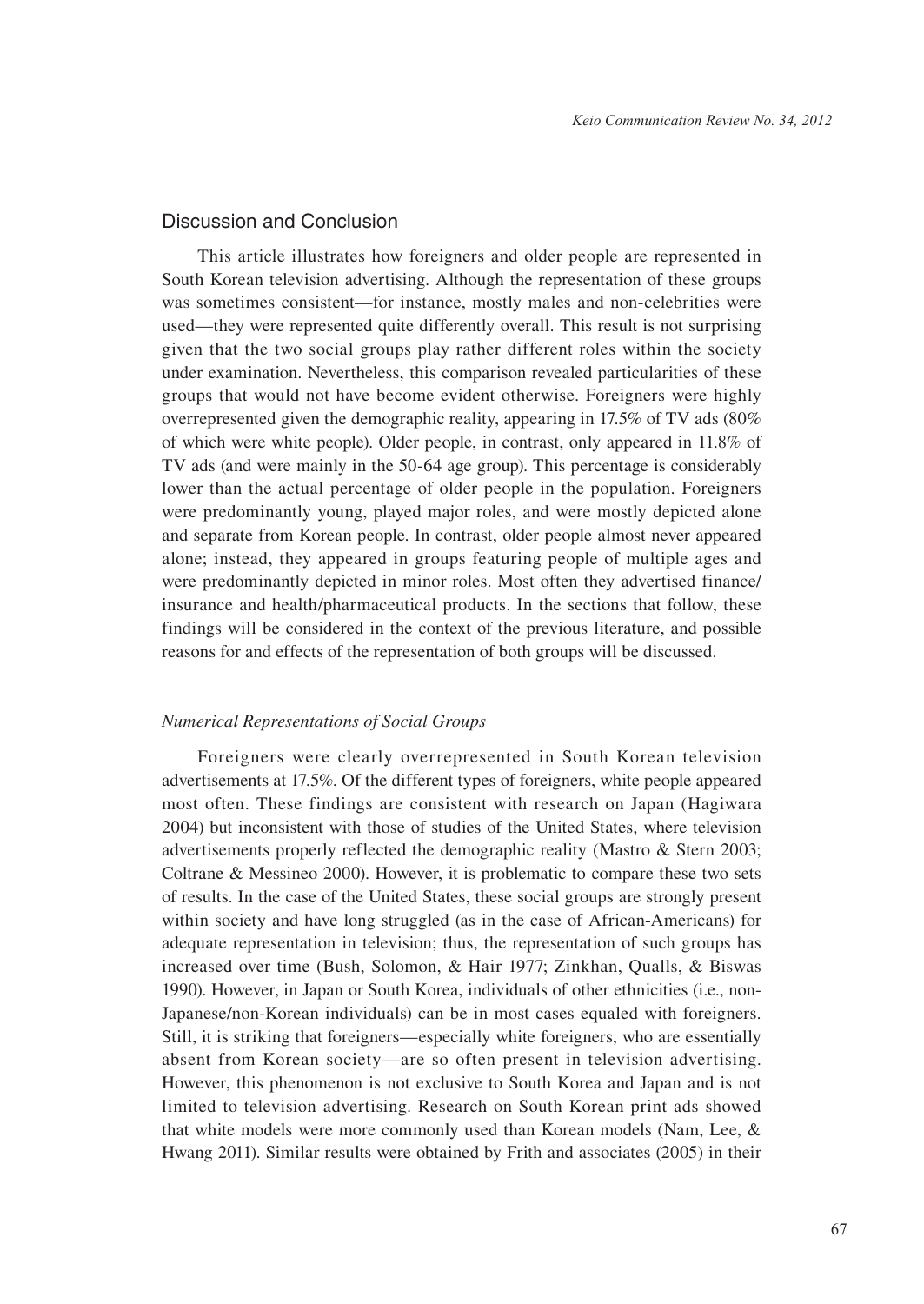# Discussion and Conclusion

This article illustrates how foreigners and older people are represented in South Korean television advertising. Although the representation of these groups was sometimes consistent—for instance, mostly males and non-celebrities were used—they were represented quite differently overall. This result is not surprising given that the two social groups play rather different roles within the society under examination. Nevertheless, this comparison revealed particularities of these groups that would not have become evident otherwise. Foreigners were highly overrepresented given the demographic reality, appearing in 17.5% of TV ads (80% of which were white people). Older people, in contrast, only appeared in 11.8% of TV ads (and were mainly in the 50-64 age group). This percentage is considerably lower than the actual percentage of older people in the population. Foreigners were predominantly young, played major roles, and were mostly depicted alone and separate from Korean people. In contrast, older people almost never appeared alone; instead, they appeared in groups featuring people of multiple ages and were predominantly depicted in minor roles. Most often they advertised finance/ insurance and health/pharmaceutical products. In the sections that follow, these findings will be considered in the context of the previous literature, and possible reasons for and effects of the representation of both groups will be discussed.

#### *Numerical Representations of Social Groups*

Foreigners were clearly overrepresented in South Korean television advertisements at 17.5%. Of the different types of foreigners, white people appeared most often. These findings are consistent with research on Japan (Hagiwara 2004) but inconsistent with those of studies of the United States, where television advertisements properly reflected the demographic reality (Mastro & Stern 2003; Coltrane & Messineo 2000). However, it is problematic to compare these two sets of results. In the case of the United States, these social groups are strongly present within society and have long struggled (as in the case of African-Americans) for adequate representation in television; thus, the representation of such groups has increased over time (Bush, Solomon, & Hair 1977; Zinkhan, Qualls, & Biswas 1990). However, in Japan or South Korea, individuals of other ethnicities (i.e., non-Japanese/non-Korean individuals) can be in most cases equaled with foreigners. Still, it is striking that foreigners—especially white foreigners, who are essentially absent from Korean society—are so often present in television advertising. However, this phenomenon is not exclusive to South Korea and Japan and is not limited to television advertising. Research on South Korean print ads showed that white models were more commonly used than Korean models (Nam, Lee, & Hwang 2011). Similar results were obtained by Frith and associates (2005) in their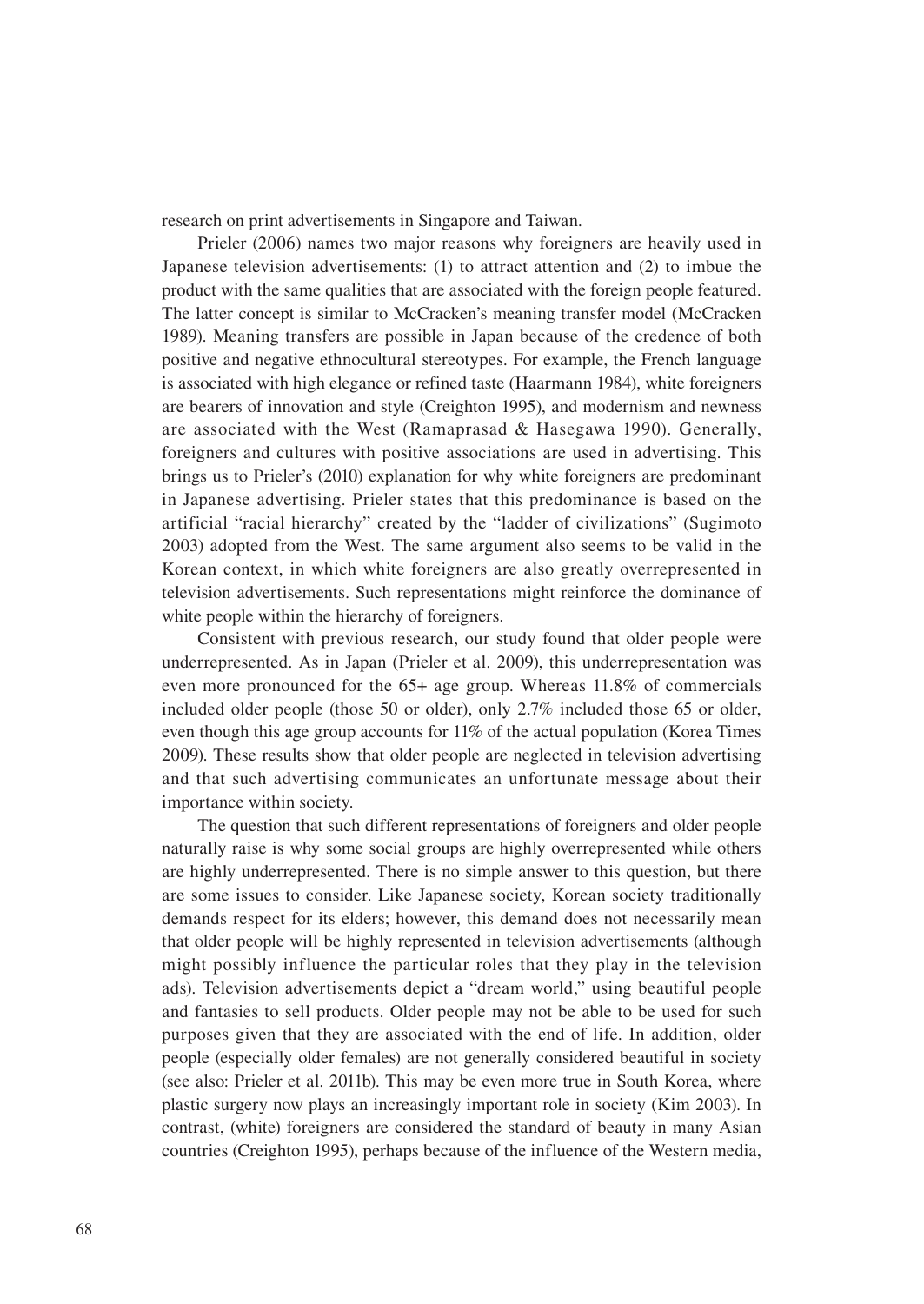research on print advertisements in Singapore and Taiwan.

Prieler (2006) names two major reasons why foreigners are heavily used in Japanese television advertisements: (1) to attract attention and (2) to imbue the product with the same qualities that are associated with the foreign people featured. The latter concept is similar to McCracken's meaning transfer model (McCracken 1989). Meaning transfers are possible in Japan because of the credence of both positive and negative ethnocultural stereotypes. For example, the French language is associated with high elegance or refined taste (Haarmann 1984), white foreigners are bearers of innovation and style (Creighton 1995), and modernism and newness are associated with the West (Ramaprasad & Hasegawa 1990). Generally, foreigners and cultures with positive associations are used in advertising. This brings us to Prieler's (2010) explanation for why white foreigners are predominant in Japanese advertising. Prieler states that this predominance is based on the artificial "racial hierarchy" created by the "ladder of civilizations" (Sugimoto 2003) adopted from the West. The same argument also seems to be valid in the Korean context, in which white foreigners are also greatly overrepresented in television advertisements. Such representations might reinforce the dominance of white people within the hierarchy of foreigners.

Consistent with previous research, our study found that older people were underrepresented. As in Japan (Prieler et al. 2009), this underrepresentation was even more pronounced for the 65+ age group. Whereas 11.8% of commercials included older people (those 50 or older), only 2.7% included those 65 or older, even though this age group accounts for 11% of the actual population (Korea Times 2009). These results show that older people are neglected in television advertising and that such advertising communicates an unfortunate message about their importance within society.

The question that such different representations of foreigners and older people naturally raise is why some social groups are highly overrepresented while others are highly underrepresented. There is no simple answer to this question, but there are some issues to consider. Like Japanese society, Korean society traditionally demands respect for its elders; however, this demand does not necessarily mean that older people will be highly represented in television advertisements (although might possibly influence the particular roles that they play in the television ads). Television advertisements depict a "dream world," using beautiful people and fantasies to sell products. Older people may not be able to be used for such purposes given that they are associated with the end of life. In addition, older people (especially older females) are not generally considered beautiful in society (see also: Prieler et al. 2011b). This may be even more true in South Korea, where plastic surgery now plays an increasingly important role in society (Kim 2003). In contrast, (white) foreigners are considered the standard of beauty in many Asian countries (Creighton 1995), perhaps because of the influence of the Western media,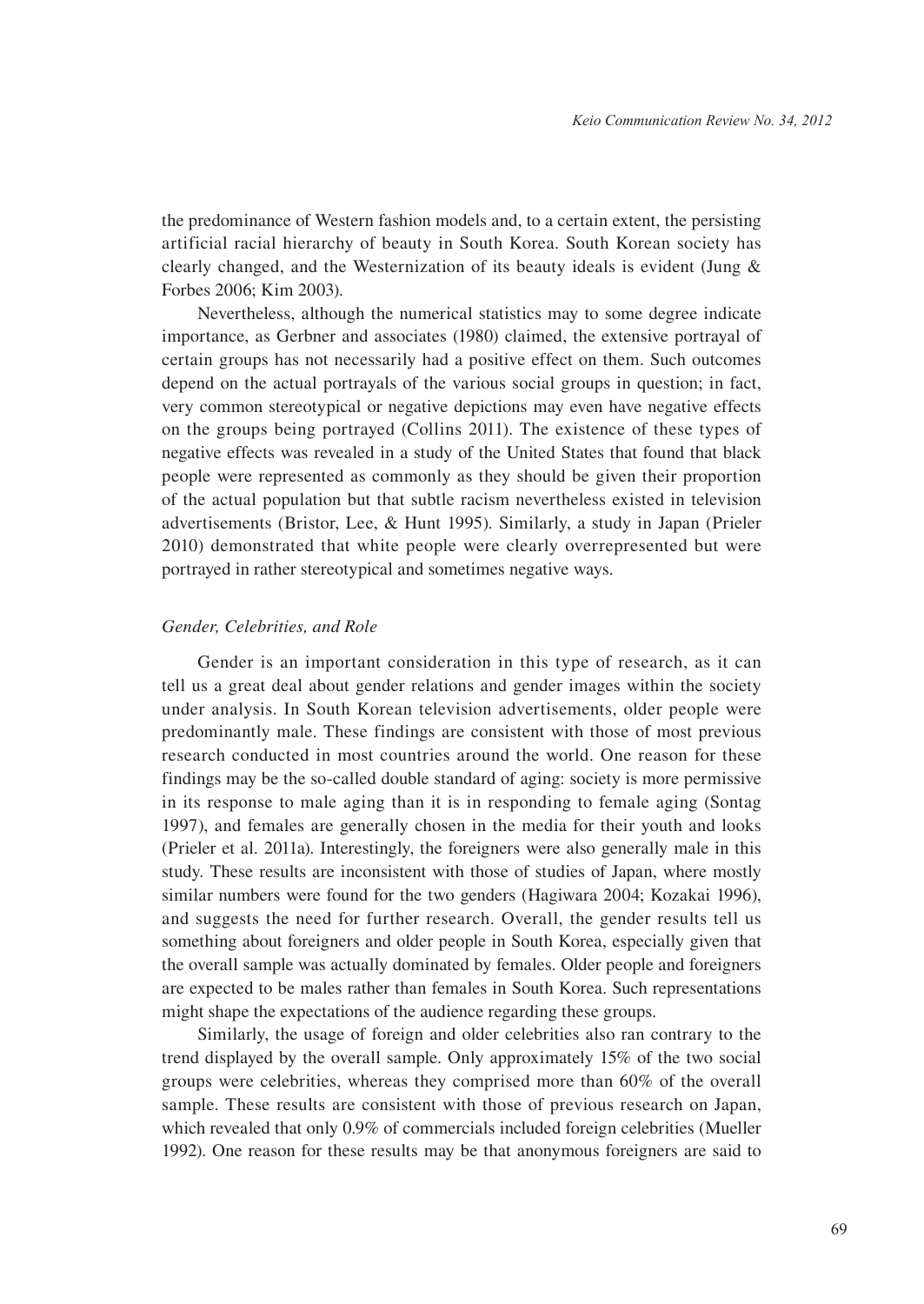the predominance of Western fashion models and, to a certain extent, the persisting artificial racial hierarchy of beauty in South Korea. South Korean society has clearly changed, and the Westernization of its beauty ideals is evident (Jung & Forbes 2006; Kim 2003).

Nevertheless, although the numerical statistics may to some degree indicate importance, as Gerbner and associates (1980) claimed, the extensive portrayal of certain groups has not necessarily had a positive effect on them. Such outcomes depend on the actual portrayals of the various social groups in question; in fact, very common stereotypical or negative depictions may even have negative effects on the groups being portrayed (Collins 2011). The existence of these types of negative effects was revealed in a study of the United States that found that black people were represented as commonly as they should be given their proportion of the actual population but that subtle racism nevertheless existed in television advertisements (Bristor, Lee, & Hunt 1995). Similarly, a study in Japan (Prieler 2010) demonstrated that white people were clearly overrepresented but were portrayed in rather stereotypical and sometimes negative ways.

#### *Gender, Celebrities, and Role*

Gender is an important consideration in this type of research, as it can tell us a great deal about gender relations and gender images within the society under analysis. In South Korean television advertisements, older people were predominantly male. These findings are consistent with those of most previous research conducted in most countries around the world. One reason for these findings may be the so-called double standard of aging: society is more permissive in its response to male aging than it is in responding to female aging (Sontag 1997), and females are generally chosen in the media for their youth and looks (Prieler et al. 2011a). Interestingly, the foreigners were also generally male in this study. These results are inconsistent with those of studies of Japan, where mostly similar numbers were found for the two genders (Hagiwara 2004; Kozakai 1996), and suggests the need for further research. Overall, the gender results tell us something about foreigners and older people in South Korea, especially given that the overall sample was actually dominated by females. Older people and foreigners are expected to be males rather than females in South Korea. Such representations might shape the expectations of the audience regarding these groups.

Similarly, the usage of foreign and older celebrities also ran contrary to the trend displayed by the overall sample. Only approximately 15% of the two social groups were celebrities, whereas they comprised more than 60% of the overall sample. These results are consistent with those of previous research on Japan, which revealed that only 0.9% of commercials included foreign celebrities (Mueller 1992). One reason for these results may be that anonymous foreigners are said to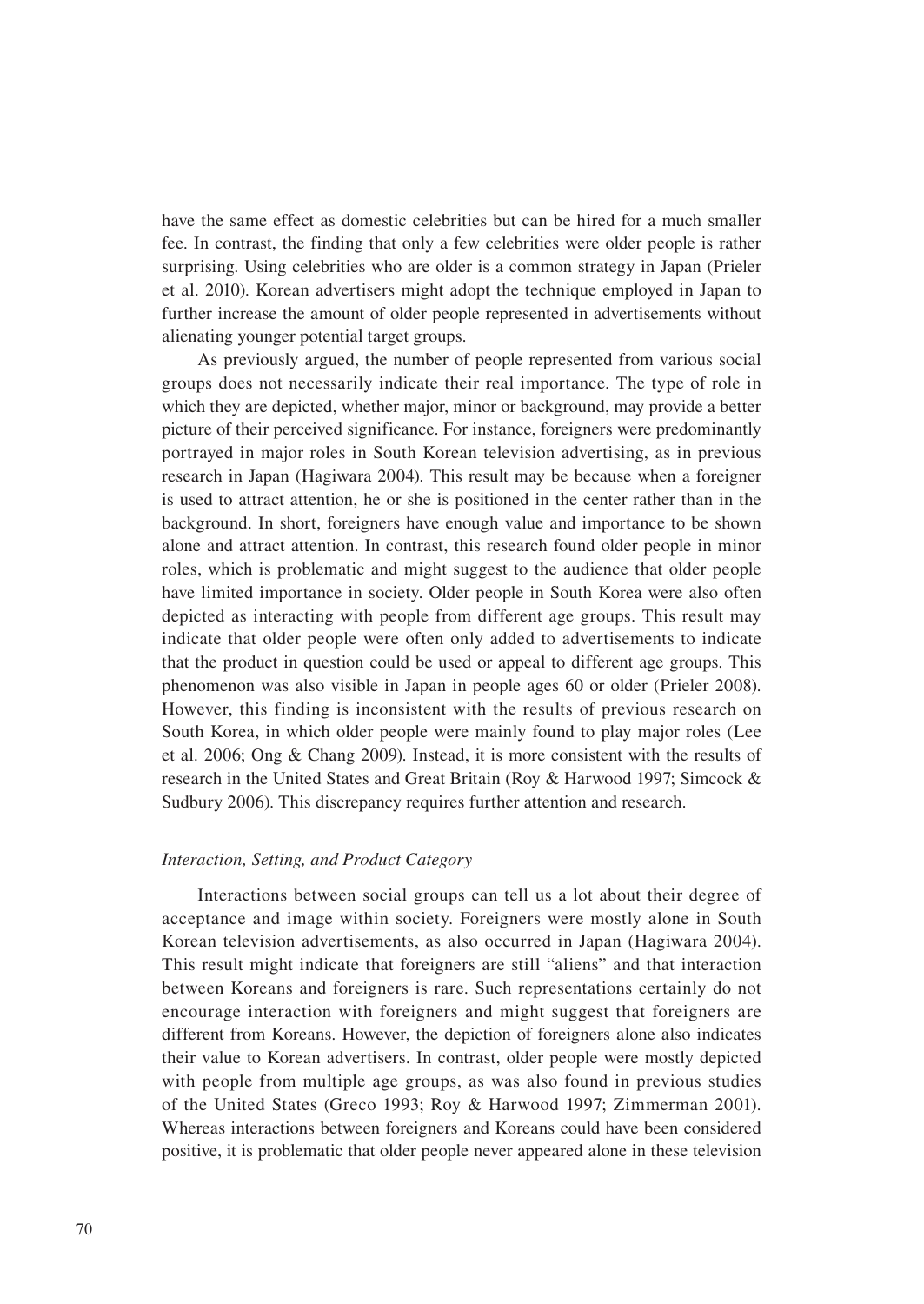have the same effect as domestic celebrities but can be hired for a much smaller fee. In contrast, the finding that only a few celebrities were older people is rather surprising. Using celebrities who are older is a common strategy in Japan (Prieler et al. 2010). Korean advertisers might adopt the technique employed in Japan to further increase the amount of older people represented in advertisements without alienating younger potential target groups.

As previously argued, the number of people represented from various social groups does not necessarily indicate their real importance. The type of role in which they are depicted, whether major, minor or background, may provide a better picture of their perceived significance. For instance, foreigners were predominantly portrayed in major roles in South Korean television advertising, as in previous research in Japan (Hagiwara 2004). This result may be because when a foreigner is used to attract attention, he or she is positioned in the center rather than in the background. In short, foreigners have enough value and importance to be shown alone and attract attention. In contrast, this research found older people in minor roles, which is problematic and might suggest to the audience that older people have limited importance in society. Older people in South Korea were also often depicted as interacting with people from different age groups. This result may indicate that older people were often only added to advertisements to indicate that the product in question could be used or appeal to different age groups. This phenomenon was also visible in Japan in people ages 60 or older (Prieler 2008). However, this finding is inconsistent with the results of previous research on South Korea, in which older people were mainly found to play major roles (Lee et al. 2006; Ong & Chang 2009). Instead, it is more consistent with the results of research in the United States and Great Britain (Roy & Harwood 1997; Simcock & Sudbury 2006). This discrepancy requires further attention and research.

#### *Interaction, Setting, and Product Category*

Interactions between social groups can tell us a lot about their degree of acceptance and image within society. Foreigners were mostly alone in South Korean television advertisements, as also occurred in Japan (Hagiwara 2004). This result might indicate that foreigners are still "aliens" and that interaction between Koreans and foreigners is rare. Such representations certainly do not encourage interaction with foreigners and might suggest that foreigners are different from Koreans. However, the depiction of foreigners alone also indicates their value to Korean advertisers. In contrast, older people were mostly depicted with people from multiple age groups, as was also found in previous studies of the United States (Greco 1993; Roy & Harwood 1997; Zimmerman 2001). Whereas interactions between foreigners and Koreans could have been considered positive, it is problematic that older people never appeared alone in these television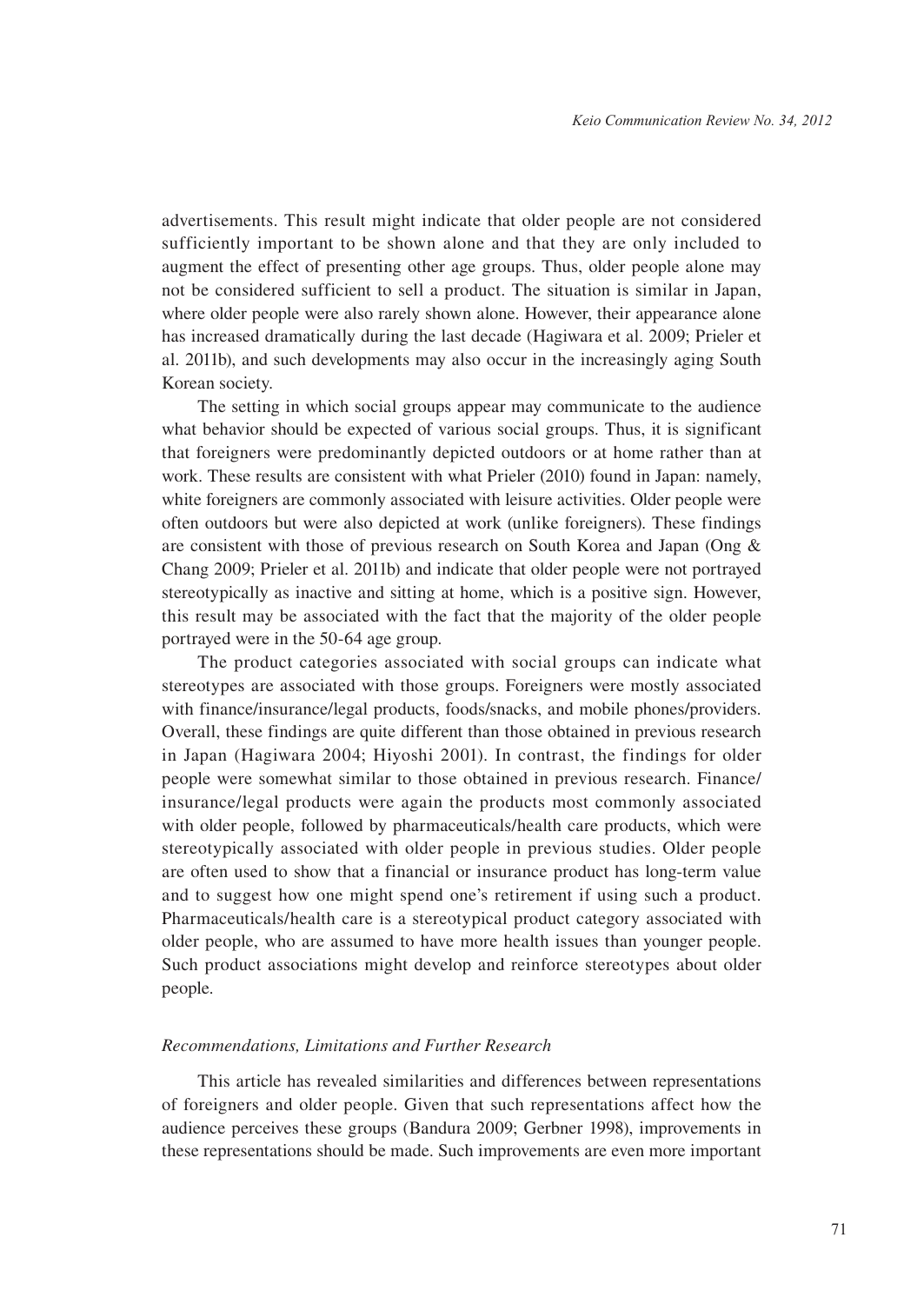advertisements. This result might indicate that older people are not considered sufficiently important to be shown alone and that they are only included to augment the effect of presenting other age groups. Thus, older people alone may not be considered sufficient to sell a product. The situation is similar in Japan, where older people were also rarely shown alone. However, their appearance alone has increased dramatically during the last decade (Hagiwara et al. 2009; Prieler et al. 2011b), and such developments may also occur in the increasingly aging South Korean society.

The setting in which social groups appear may communicate to the audience what behavior should be expected of various social groups. Thus, it is significant that foreigners were predominantly depicted outdoors or at home rather than at work. These results are consistent with what Prieler (2010) found in Japan: namely, white foreigners are commonly associated with leisure activities. Older people were often outdoors but were also depicted at work (unlike foreigners). These findings are consistent with those of previous research on South Korea and Japan (Ong & Chang 2009; Prieler et al. 2011b) and indicate that older people were not portrayed stereotypically as inactive and sitting at home, which is a positive sign. However, this result may be associated with the fact that the majority of the older people portrayed were in the 50-64 age group.

The product categories associated with social groups can indicate what stereotypes are associated with those groups. Foreigners were mostly associated with finance/insurance/legal products, foods/snacks, and mobile phones/providers. Overall, these findings are quite different than those obtained in previous research in Japan (Hagiwara 2004; Hiyoshi 2001). In contrast, the findings for older people were somewhat similar to those obtained in previous research. Finance/ insurance/legal products were again the products most commonly associated with older people, followed by pharmaceuticals/health care products, which were stereotypically associated with older people in previous studies. Older people are often used to show that a financial or insurance product has long-term value and to suggest how one might spend one's retirement if using such a product. Pharmaceuticals/health care is a stereotypical product category associated with older people, who are assumed to have more health issues than younger people. Such product associations might develop and reinforce stereotypes about older people.

#### *Recommendations, Limitations and Further Research*

This article has revealed similarities and differences between representations of foreigners and older people. Given that such representations affect how the audience perceives these groups (Bandura 2009; Gerbner 1998), improvements in these representations should be made. Such improvements are even more important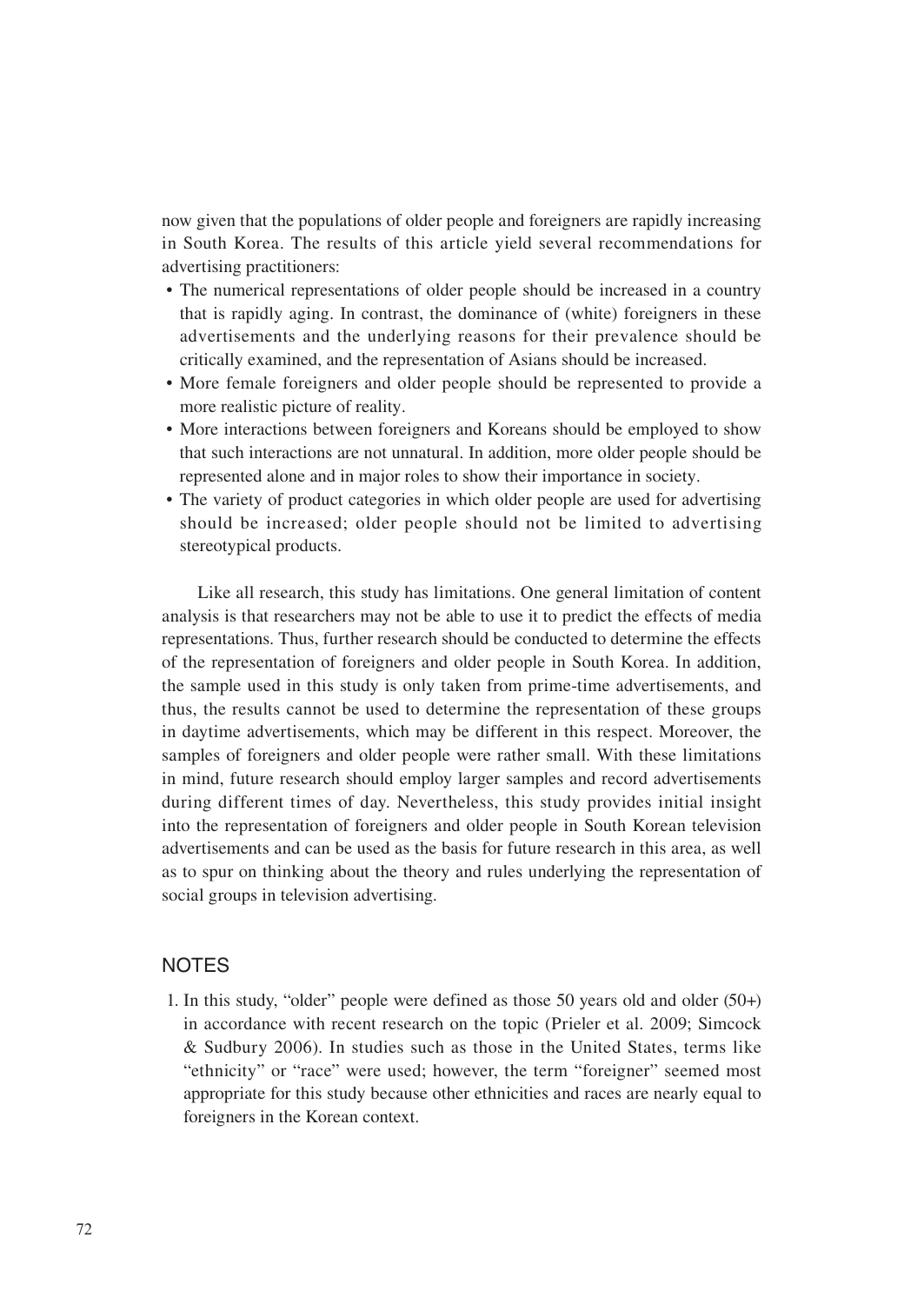now given that the populations of older people and foreigners are rapidly increasing in South Korea. The results of this article yield several recommendations for advertising practitioners:

- The numerical representations of older people should be increased in a country that is rapidly aging. In contrast, the dominance of (white) foreigners in these advertisements and the underlying reasons for their prevalence should be critically examined, and the representation of Asians should be increased.
- • More female foreigners and older people should be represented to provide a more realistic picture of reality.
- More interactions between foreigners and Koreans should be employed to show that such interactions are not unnatural. In addition, more older people should be represented alone and in major roles to show their importance in society.
- The variety of product categories in which older people are used for advertising should be increased; older people should not be limited to advertising stereotypical products.

Like all research, this study has limitations. One general limitation of content analysis is that researchers may not be able to use it to predict the effects of media representations. Thus, further research should be conducted to determine the effects of the representation of foreigners and older people in South Korea. In addition, the sample used in this study is only taken from prime-time advertisements, and thus, the results cannot be used to determine the representation of these groups in daytime advertisements, which may be different in this respect. Moreover, the samples of foreigners and older people were rather small. With these limitations in mind, future research should employ larger samples and record advertisements during different times of day. Nevertheless, this study provides initial insight into the representation of foreigners and older people in South Korean television advertisements and can be used as the basis for future research in this area, as well as to spur on thinking about the theory and rules underlying the representation of social groups in television advertising.

# **NOTES**

1. In this study, "older" people were defined as those 50 years old and older (50+) in accordance with recent research on the topic (Prieler et al. 2009; Simcock & Sudbury 2006). In studies such as those in the United States, terms like "ethnicity" or "race" were used; however, the term "foreigner" seemed most appropriate for this study because other ethnicities and races are nearly equal to foreigners in the Korean context.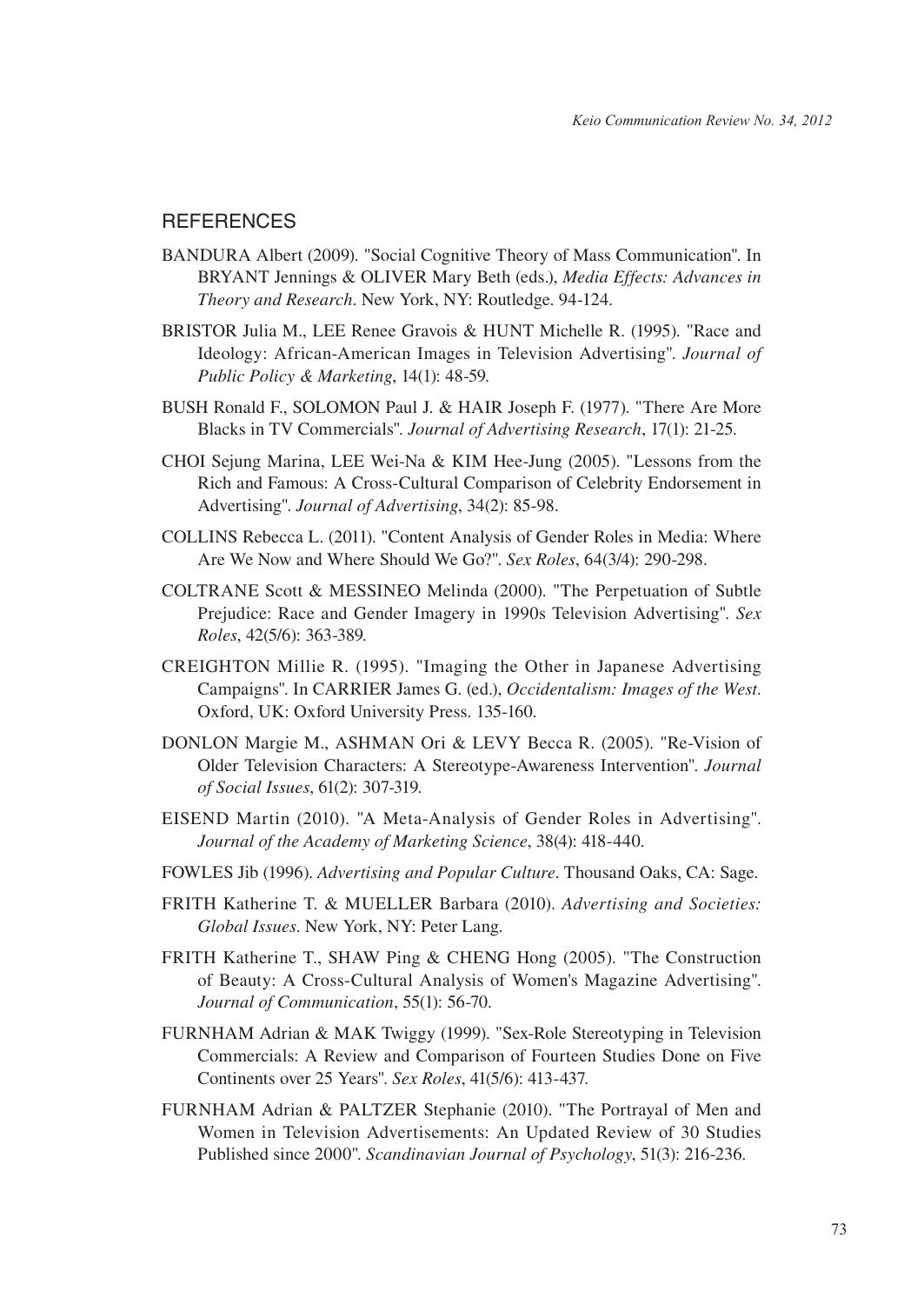# **REFERENCES**

- BANDURA Albert (2009). "Social Cognitive Theory of Mass Communication". In BRYANT Jennings & OLIVER Mary Beth (eds.), *Media Effects: Advances in Theory and Research*. New York, NY: Routledge. 94-124.
- BRISTOR Julia M., LEE Renee Gravois & HUNT Michelle R. (1995). "Race and Ideology: African-American Images in Television Advertising". *Journal of Public Policy & Marketing*, 14(1): 48-59.
- BUSH Ronald F., SOLOMON Paul J. & HAIR Joseph F. (1977). "There Are More Blacks in TV Commercials". *Journal of Advertising Research*, 17(1): 21-25.
- CHOI Sejung Marina, LEE Wei-Na & KIM Hee-Jung (2005). "Lessons from the Rich and Famous: A Cross-Cultural Comparison of Celebrity Endorsement in Advertising". *Journal of Advertising*, 34(2): 85-98.
- COLLINS Rebecca L. (2011). "Content Analysis of Gender Roles in Media: Where Are We Now and Where Should We Go?". *Sex Roles*, 64(3/4): 290-298.
- COLTRANE Scott & MESSINEO Melinda (2000). "The Perpetuation of Subtle Prejudice: Race and Gender Imagery in 1990s Television Advertising". *Sex Roles*, 42(5/6): 363-389.
- CREIGHTON Millie R. (1995). "Imaging the Other in Japanese Advertising Campaigns". In CARRIER James G. (ed.), *Occidentalism: Images of the West*. Oxford, UK: Oxford University Press. 135-160.
- DONLON Margie M., ASHMAN Ori & LEVY Becca R. (2005). "Re-Vision of Older Television Characters: A Stereotype-Awareness Intervention". *Journal of Social Issues*, 61(2): 307-319.
- EISEND Martin (2010). "A Meta-Analysis of Gender Roles in Advertising". *Journal of the Academy of Marketing Science*, 38(4): 418-440.
- FOWLES Jib (1996). *Advertising and Popular Culture*. Thousand Oaks, CA: Sage.
- FRITH Katherine T. & MUELLER Barbara (2010). *Advertising and Societies: Global Issues*. New York, NY: Peter Lang.
- FRITH Katherine T., SHAW Ping & CHENG Hong (2005). "The Construction of Beauty: A Cross-Cultural Analysis of Women's Magazine Advertising". *Journal of Communication*, 55(1): 56-70.
- FURNHAM Adrian & MAK Twiggy (1999). "Sex-Role Stereotyping in Television Commercials: A Review and Comparison of Fourteen Studies Done on Five Continents over 25 Years". *Sex Roles*, 41(5/6): 413-437.
- FURNHAM Adrian & PALTZER Stephanie (2010). "The Portrayal of Men and Women in Television Advertisements: An Updated Review of 30 Studies Published since 2000". *Scandinavian Journal of Psychology*, 51(3): 216-236.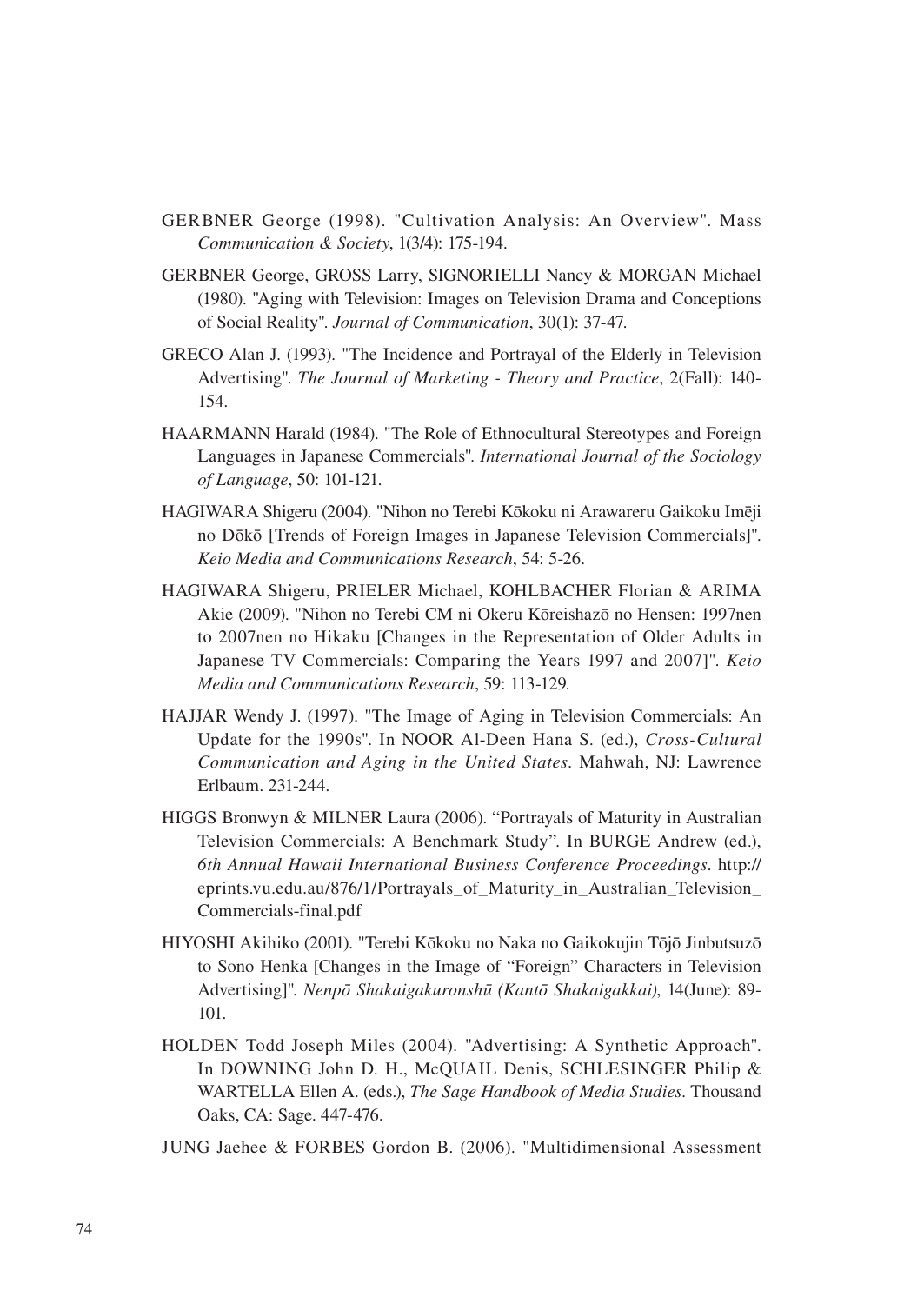- GERBNER George (1998). "Cultivation Analysis: An Overview". Mass *Communication & Society*, 1(3/4): 175-194.
- GERBNER George, GROSS Larry, SIGNORIELLI Nancy & MORGAN Michael (1980). "Aging with Television: Images on Television Drama and Conceptions of Social Reality". *Journal of Communication*, 30(1): 37-47.
- GRECO Alan J. (1993). "The Incidence and Portrayal of the Elderly in Television Advertising". *The Journal of Marketing - Theory and Practice*, 2(Fall): 140- 154.
- HAARMANN Harald (1984). "The Role of Ethnocultural Stereotypes and Foreign Languages in Japanese Commercials". *International Journal of the Sociology of Language*, 50: 101-121.
- HAGIWARA Shigeru (2004). "Nihon no Terebi Kōkoku ni Arawareru Gaikoku Imēji no Dōkō [Trends of Foreign Images in Japanese Television Commercials]". *Keio Media and Communications Research*, 54: 5-26.
- HAGIWARA Shigeru, PRIELER Michael, KOHLBACHER Florian & ARIMA Akie (2009). "Nihon no Terebi CM ni Okeru Kōreishazō no Hensen: 1997nen to 2007nen no Hikaku [Changes in the Representation of Older Adults in Japanese TV Commercials: Comparing the Years 1997 and 2007]". *Keio Media and Communications Research*, 59: 113-129.
- HAJJAR Wendy J. (1997). "The Image of Aging in Television Commercials: An Update for the 1990s". In NOOR Al-Deen Hana S. (ed.), *Cross-Cultural Communication and Aging in the United States*. Mahwah, NJ: Lawrence Erlbaum. 231-244.
- HIGGS Bronwyn & MILNER Laura (2006). "Portrayals of Maturity in Australian Television Commercials: A Benchmark Study". In BURGE Andrew (ed.), *6th Annual Hawaii International Business Conference Proceedings*. http:// eprints.vu.edu.au/876/1/Portrayals\_of\_Maturity\_in\_Australian\_Television\_ Commercials-final.pdf
- HIYOSHI Akihiko (2001). "Terebi Kōkoku no Naka no Gaikokujin Tōjō Jinbutsuzō to Sono Henka [Changes in the Image of "Foreign" Characters in Television Advertising]". *Nenpō Shakaigakuronshū (Kantō Shakaigakkai)*, 14(June): 89- 101.
- HOLDEN Todd Joseph Miles (2004). "Advertising: A Synthetic Approach". In DOWNING John D. H., McQUAIL Denis, SCHLESINGER Philip & WARTELLA Ellen A. (eds.), *The Sage Handbook of Media Studies*. Thousand Oaks, CA: Sage. 447-476.
- JUNG Jaehee & FORBES Gordon B. (2006). "Multidimensional Assessment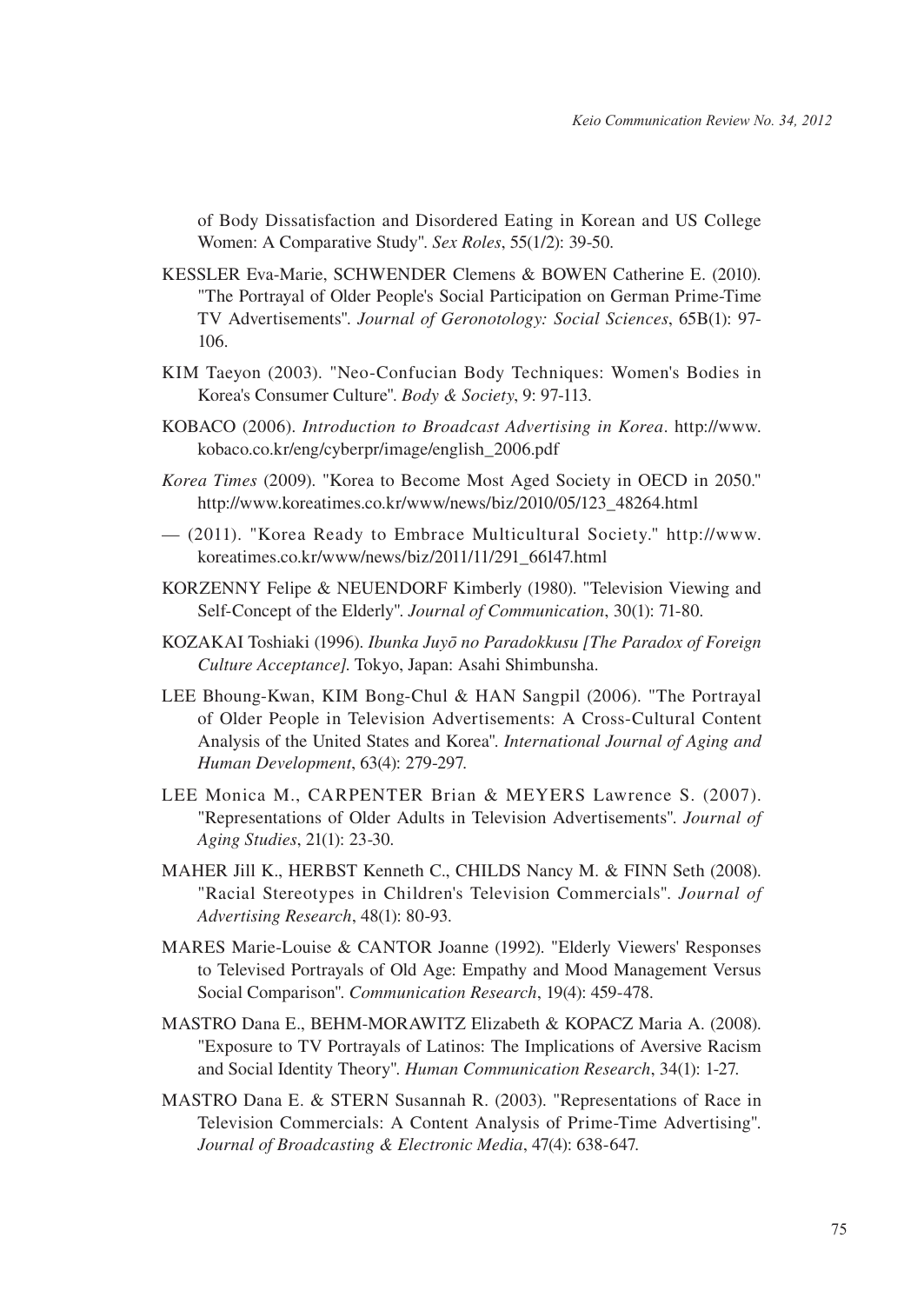of Body Dissatisfaction and Disordered Eating in Korean and US College Women: A Comparative Study". *Sex Roles*, 55(1/2): 39-50.

- KESSLER Eva-Marie, SCHWENDER Clemens & BOWEN Catherine E. (2010). "The Portrayal of Older People's Social Participation on German Prime-Time TV Advertisements". *Journal of Geronotology: Social Sciences*, 65B(1): 97- 106.
- KIM Taeyon (2003). "Neo-Confucian Body Techniques: Women's Bodies in Korea's Consumer Culture". *Body & Society*, 9: 97-113.
- KOBACO (2006). *Introduction to Broadcast Advertising in Korea*. http://www. kobaco.co.kr/eng/cyberpr/image/english\_2006.pdf
- *Korea Times* (2009). "Korea to Become Most Aged Society in OECD in 2050." http://www.koreatimes.co.kr/www/news/biz/2010/05/123\_48264.html
- (2011). "Korea Ready to Embrace Multicultural Society." http://www. koreatimes.co.kr/www/news/biz/2011/11/291\_66147.html
- KORZENNY Felipe & NEUENDORF Kimberly (1980). "Television Viewing and Self-Concept of the Elderly". *Journal of Communication*, 30(1): 71-80.
- KOZAKAI Toshiaki (1996). *Ibunka Juyō no Paradokkusu [The Paradox of Foreign Culture Acceptance]*. Tokyo, Japan: Asahi Shimbunsha.
- LEE Bhoung-Kwan, KIM Bong-Chul & HAN Sangpil (2006). "The Portrayal of Older People in Television Advertisements: A Cross-Cultural Content Analysis of the United States and Korea". *International Journal of Aging and Human Development*, 63(4): 279-297.
- LEE Monica M., CARPENTER Brian & MEYERS Lawrence S. (2007). "Representations of Older Adults in Television Advertisements". *Journal of Aging Studies*, 21(1): 23-30.
- MAHER Jill K., HERBST Kenneth C., CHILDS Nancy M. & FINN Seth (2008). "Racial Stereotypes in Children's Television Commercials". *Journal of Advertising Research*, 48(1): 80-93.
- MARES Marie-Louise & CANTOR Joanne (1992). "Elderly Viewers' Responses to Televised Portrayals of Old Age: Empathy and Mood Management Versus Social Comparison". *Communication Research*, 19(4): 459-478.
- MASTRO Dana E., BEHM-MORAWITZ Elizabeth & KOPACZ Maria A. (2008). "Exposure to TV Portrayals of Latinos: The Implications of Aversive Racism and Social Identity Theory". *Human Communication Research*, 34(1): 1-27.
- MASTRO Dana E. & STERN Susannah R. (2003). "Representations of Race in Television Commercials: A Content Analysis of Prime-Time Advertising". *Journal of Broadcasting & Electronic Media*, 47(4): 638-647.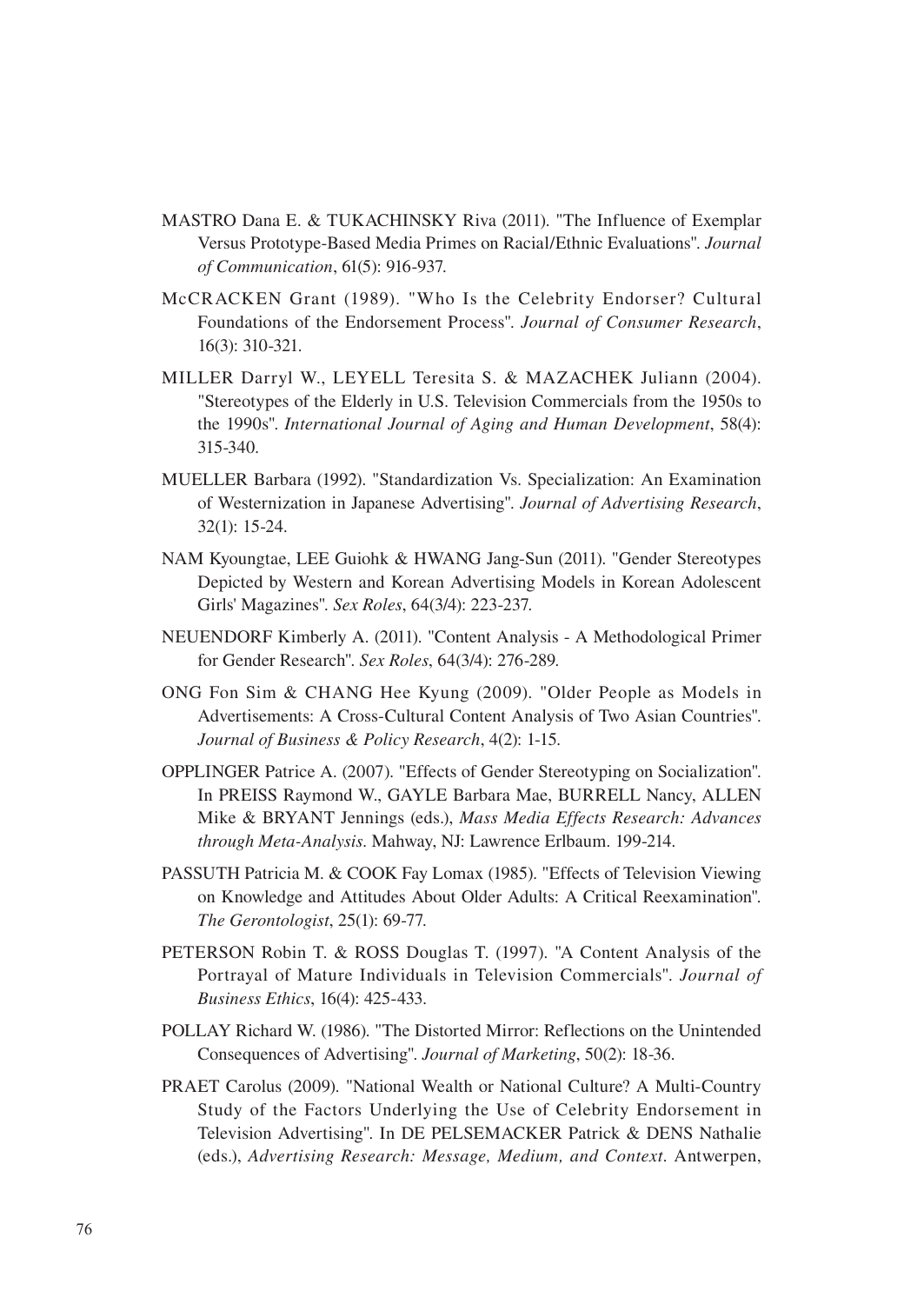- MASTRO Dana E. & TUKACHINSKY Riva (2011). "The Influence of Exemplar Versus Prototype-Based Media Primes on Racial/Ethnic Evaluations". *Journal of Communication*, 61(5): 916-937.
- McCRACKEN Grant (1989). "Who Is the Celebrity Endorser? Cultural Foundations of the Endorsement Process". *Journal of Consumer Research*, 16(3): 310-321.
- MILLER Darryl W., LEYELL Teresita S. & MAZACHEK Juliann (2004). "Stereotypes of the Elderly in U.S. Television Commercials from the 1950s to the 1990s". *International Journal of Aging and Human Development*, 58(4): 315-340.
- MUELLER Barbara (1992). "Standardization Vs. Specialization: An Examination of Westernization in Japanese Advertising". *Journal of Advertising Research*, 32(1): 15-24.
- NAM Kyoungtae, LEE Guiohk & HWANG Jang-Sun (2011). "Gender Stereotypes Depicted by Western and Korean Advertising Models in Korean Adolescent Girls' Magazines". *Sex Roles*, 64(3/4): 223-237.
- NEUENDORF Kimberly A. (2011). "Content Analysis A Methodological Primer for Gender Research". *Sex Roles*, 64(3/4): 276-289.
- ONG Fon Sim & CHANG Hee Kyung (2009). "Older People as Models in Advertisements: A Cross-Cultural Content Analysis of Two Asian Countries". *Journal of Business & Policy Research*, 4(2): 1-15.
- OPPLINGER Patrice A. (2007). "Effects of Gender Stereotyping on Socialization". In PREISS Raymond W., GAYLE Barbara Mae, BURRELL Nancy, ALLEN Mike & BRYANT Jennings (eds.), *Mass Media Effects Research: Advances through Meta-Analysis*. Mahway, NJ: Lawrence Erlbaum. 199-214.
- PASSUTH Patricia M. & COOK Fay Lomax (1985). "Effects of Television Viewing on Knowledge and Attitudes About Older Adults: A Critical Reexamination". *The Gerontologist*, 25(1): 69-77.
- PETERSON Robin T. & ROSS Douglas T. (1997). "A Content Analysis of the Portrayal of Mature Individuals in Television Commercials". *Journal of Business Ethics*, 16(4): 425-433.
- POLLAY Richard W. (1986). "The Distorted Mirror: Reflections on the Unintended Consequences of Advertising". *Journal of Marketing*, 50(2): 18-36.
- PRAET Carolus (2009). "National Wealth or National Culture? A Multi-Country Study of the Factors Underlying the Use of Celebrity Endorsement in Television Advertising". In DE PELSEMACKER Patrick & DENS Nathalie (eds.), *Advertising Research: Message, Medium, and Context*. Antwerpen,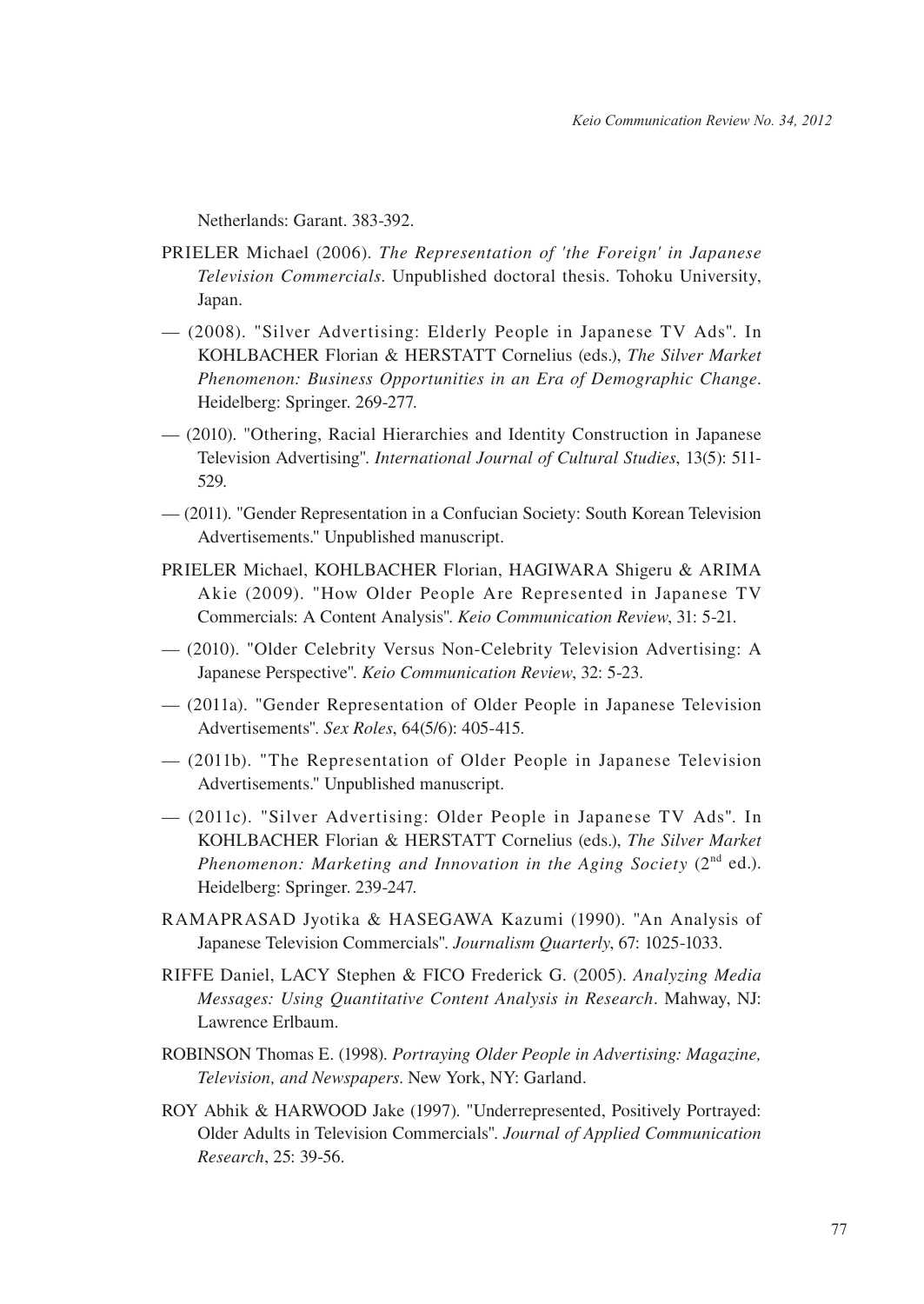Netherlands: Garant. 383-392.

- PRIELER Michael (2006). *The Representation of 'the Foreign' in Japanese Television Commercials*. Unpublished doctoral thesis. Tohoku University, Japan.
- (2008). "Silver Advertising: Elderly People in Japanese TV Ads". In KOHLBACHER Florian & HERSTATT Cornelius (eds.), *The Silver Market Phenomenon: Business Opportunities in an Era of Demographic Change*. Heidelberg: Springer. 269-277.
- (2010). "Othering, Racial Hierarchies and Identity Construction in Japanese Television Advertising". *International Journal of Cultural Studies*, 13(5): 511- 529.
- (2011). "Gender Representation in a Confucian Society: South Korean Television Advertisements." Unpublished manuscript.
- PRIELER Michael, KOHLBACHER Florian, HAGIWARA Shigeru & ARIMA Akie (2009). "How Older People Are Represented in Japanese TV Commercials: A Content Analysis". *Keio Communication Review*, 31: 5-21.
- (2010). "Older Celebrity Versus Non-Celebrity Television Advertising: A Japanese Perspective". *Keio Communication Review*, 32: 5-23.
- (2011a). "Gender Representation of Older People in Japanese Television Advertisements". *Sex Roles*, 64(5/6): 405-415.
- (2011b). "The Representation of Older People in Japanese Television Advertisements." Unpublished manuscript.
- (2011c). "Silver Advertising: Older People in Japanese TV Ads". In KOHLBACHER Florian & HERSTATT Cornelius (eds.), *The Silver Market Phenomenon: Marketing and Innovation in the Aging Society (2<sup>nd</sup> ed.).* Heidelberg: Springer. 239-247.
- RAMAPRASAD Jyotika & HASEGAWA Kazumi (1990). "An Analysis of Japanese Television Commercials". *Journalism Quarterly*, 67: 1025-1033.
- RIFFE Daniel, LACY Stephen & FICO Frederick G. (2005). *Analyzing Media Messages: Using Quantitative Content Analysis in Research*. Mahway, NJ: Lawrence Erlbaum.
- ROBINSON Thomas E. (1998). *Portraying Older People in Advertising: Magazine, Television, and Newspapers*. New York, NY: Garland.
- ROY Abhik & HARWOOD Jake (1997). "Underrepresented, Positively Portrayed: Older Adults in Television Commercials". *Journal of Applied Communication Research*, 25: 39-56.